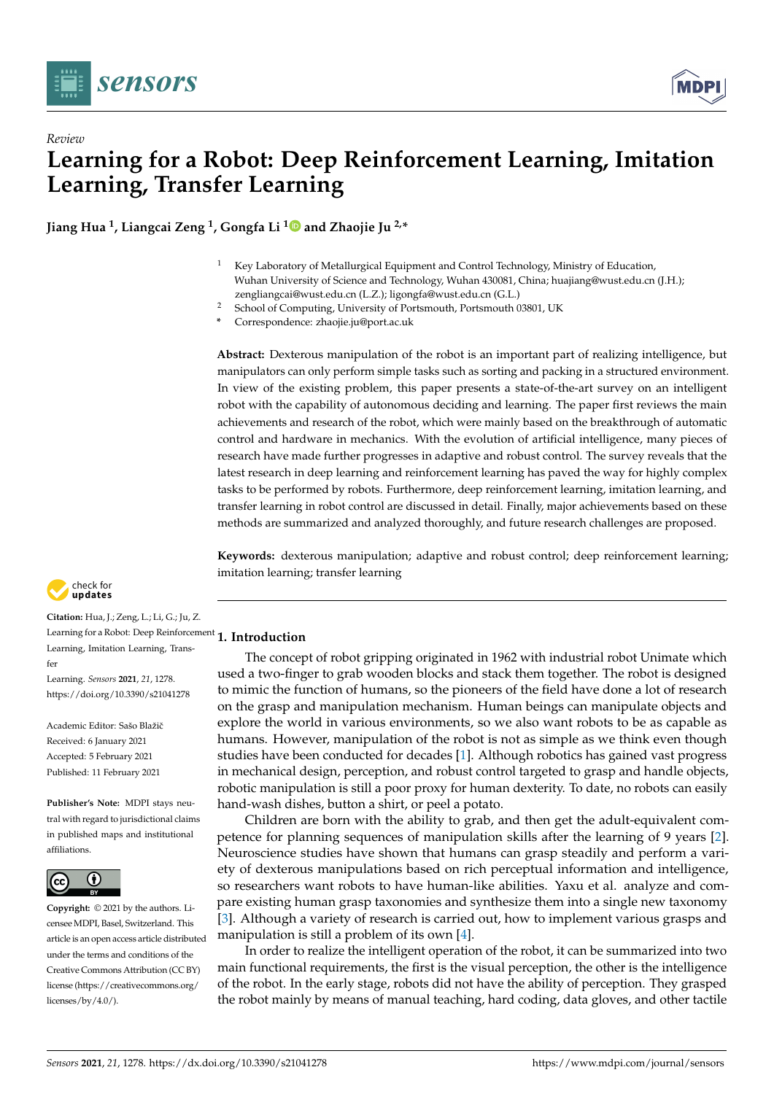

*Review*



# **Learning for a Robot: Deep Reinforcement Learning, Imitation Learning, Transfer Learning**

**Jiang Hua <sup>1</sup> , Liangcai Zeng <sup>1</sup> , Gongfa Li [1](https://orcid.org/0000-0002-2695-2742) and Zhaojie Ju 2,\***

- <sup>1</sup> Key Laboratory of Metallurgical Equipment and Control Technology, Ministry of Education, Wuhan University of Science and Technology, Wuhan 430081, China; huajiang@wust.edu.cn (J.H.); zengliangcai@wust.edu.cn (L.Z.); ligongfa@wust.edu.cn (G.L.)
- <sup>2</sup> School of Computing, University of Portsmouth, Portsmouth 03801, UK
- **\*** Correspondence: zhaojie.ju@port.ac.uk

**Abstract:** Dexterous manipulation of the robot is an important part of realizing intelligence, but manipulators can only perform simple tasks such as sorting and packing in a structured environment. In view of the existing problem, this paper presents a state-of-the-art survey on an intelligent robot with the capability of autonomous deciding and learning. The paper first reviews the main achievements and research of the robot, which were mainly based on the breakthrough of automatic control and hardware in mechanics. With the evolution of artificial intelligence, many pieces of research have made further progresses in adaptive and robust control. The survey reveals that the latest research in deep learning and reinforcement learning has paved the way for highly complex tasks to be performed by robots. Furthermore, deep reinforcement learning, imitation learning, and transfer learning in robot control are discussed in detail. Finally, major achievements based on these methods are summarized and analyzed thoroughly, and future research challenges are proposed.

**Keywords:** dexterous manipulation; adaptive and robust control; deep reinforcement learning; imitation learning; transfer learning



**Citation:** Hua, J.; Zeng, L.; Li, G.; Ju, Z. Learning for a Robot: Deep Reinforcement **1. Introduction** Learning, Imitation Learning, Transfer

Learning. *Sensors* **2021**, *21*, 1278. [https://doi.org/10.3390/s21041278](https://dx.doi.org/10.3390/s21041278)

Academic Editor: Sašo Blažič Received: 6 January 2021 Accepted: 5 February 2021 Published: 11 February 2021

**Publisher's Note:** MDPI stays neutral with regard to jurisdictional claims in published maps and institutional affiliations.



**Copyright:** © 2021 by the authors. Licensee MDPI, Basel, Switzerland. This article is an open access article distributed under the terms and conditions of the Creative Commons Attribution (CC BY) license [\(https://creativecommons.org/](https://creativecommons.org/licenses/by/4.0/) [licenses/by/4.0/\)](https://creativecommons.org/licenses/by/4.0/).

The concept of robot gripping originated in 1962 with industrial robot Unimate which used a two-finger to grab wooden blocks and stack them together. The robot is designed to mimic the function of humans, so the pioneers of the field have done a lot of research on the grasp and manipulation mechanism. Human beings can manipulate objects and explore the world in various environments, so we also want robots to be as capable as humans. However, manipulation of the robot is not as simple as we think even though studies have been conducted for decades [\[1\]](#page-15-0). Although robotics has gained vast progress in mechanical design, perception, and robust control targeted to grasp and handle objects, robotic manipulation is still a poor proxy for human dexterity. To date, no robots can easily hand-wash dishes, button a shirt, or peel a potato.

Children are born with the ability to grab, and then get the adult-equivalent competence for planning sequences of manipulation skills after the learning of 9 years [\[2\]](#page-15-1). Neuroscience studies have shown that humans can grasp steadily and perform a variety of dexterous manipulations based on rich perceptual information and intelligence, so researchers want robots to have human-like abilities. Yaxu et al. analyze and compare existing human grasp taxonomies and synthesize them into a single new taxonomy [\[3\]](#page-15-2). Although a variety of research is carried out, how to implement various grasps and manipulation is still a problem of its own [\[4\]](#page-15-3).

In order to realize the intelligent operation of the robot, it can be summarized into two main functional requirements, the first is the visual perception, the other is the intelligence of the robot. In the early stage, robots did not have the ability of perception. They grasped the robot mainly by means of manual teaching, hard coding, data gloves, and other tactile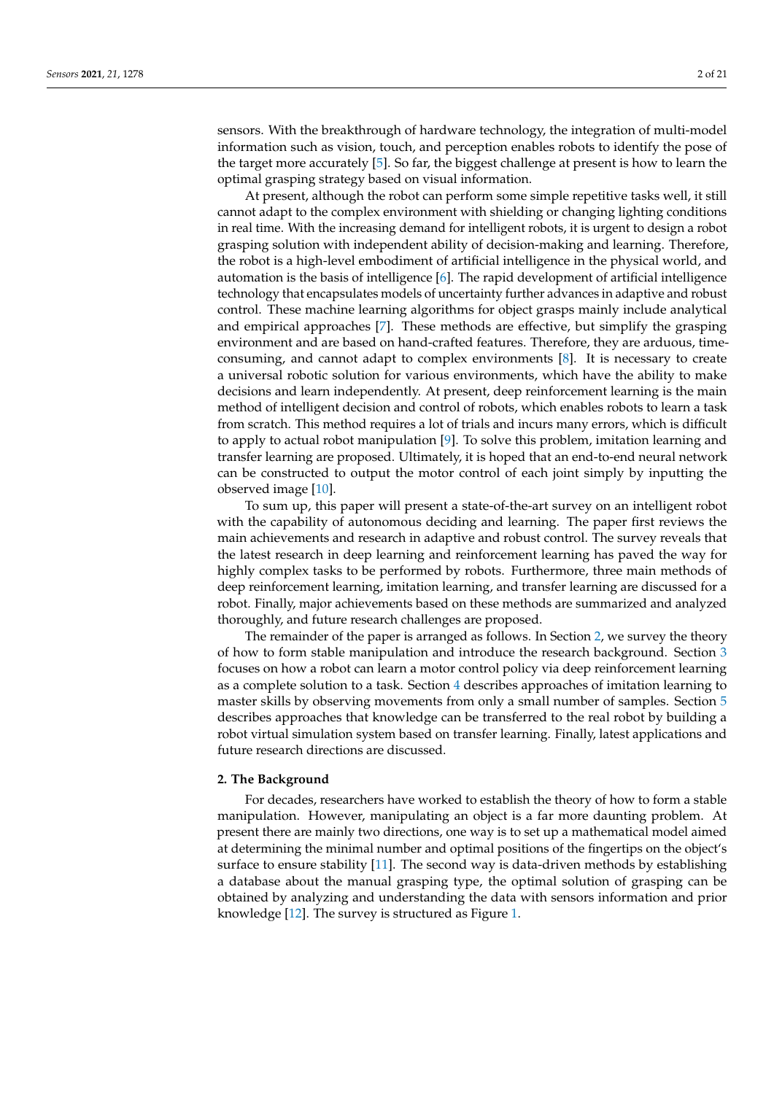sensors. With the breakthrough of hardware technology, the integration of multi-model information such as vision, touch, and perception enables robots to identify the pose of the target more accurately [\[5\]](#page-15-4). So far, the biggest challenge at present is how to learn the optimal grasping strategy based on visual information.

At present, although the robot can perform some simple repetitive tasks well, it still cannot adapt to the complex environment with shielding or changing lighting conditions in real time. With the increasing demand for intelligent robots, it is urgent to design a robot grasping solution with independent ability of decision-making and learning. Therefore, the robot is a high-level embodiment of artificial intelligence in the physical world, and automation is the basis of intelligence [\[6\]](#page-15-5). The rapid development of artificial intelligence technology that encapsulates models of uncertainty further advances in adaptive and robust control. These machine learning algorithms for object grasps mainly include analytical and empirical approaches [\[7\]](#page-15-6). These methods are effective, but simplify the grasping environment and are based on hand-crafted features. Therefore, they are arduous, timeconsuming, and cannot adapt to complex environments [\[8\]](#page-15-7). It is necessary to create a universal robotic solution for various environments, which have the ability to make decisions and learn independently. At present, deep reinforcement learning is the main method of intelligent decision and control of robots, which enables robots to learn a task from scratch. This method requires a lot of trials and incurs many errors, which is difficult to apply to actual robot manipulation [\[9\]](#page-15-8). To solve this problem, imitation learning and transfer learning are proposed. Ultimately, it is hoped that an end-to-end neural network can be constructed to output the motor control of each joint simply by inputting the observed image [\[10\]](#page-15-9).

To sum up, this paper will present a state-of-the-art survey on an intelligent robot with the capability of autonomous deciding and learning. The paper first reviews the main achievements and research in adaptive and robust control. The survey reveals that the latest research in deep learning and reinforcement learning has paved the way for highly complex tasks to be performed by robots. Furthermore, three main methods of deep reinforcement learning, imitation learning, and transfer learning are discussed for a robot. Finally, major achievements based on these methods are summarized and analyzed thoroughly, and future research challenges are proposed.

The remainder of the paper is arranged as follows. In Section [2,](#page-1-0) we survey the theory of how to form stable manipulation and introduce the research background. Section [3](#page-3-0) focuses on how a robot can learn a motor control policy via deep reinforcement learning as a complete solution to a task. Section [4](#page-7-0) describes approaches of imitation learning to master skills by observing movements from only a small number of samples. Section [5](#page-10-0) describes approaches that knowledge can be transferred to the real robot by building a robot virtual simulation system based on transfer learning. Finally, latest applications and future research directions are discussed.

#### <span id="page-1-0"></span>**2. The Background**

For decades, researchers have worked to establish the theory of how to form a stable manipulation. However, manipulating an object is a far more daunting problem. At present there are mainly two directions, one way is to set up a mathematical model aimed at determining the minimal number and optimal positions of the fingertips on the object's surface to ensure stability [\[11\]](#page-15-10). The second way is data-driven methods by establishing a database about the manual grasping type, the optimal solution of grasping can be obtained by analyzing and understanding the data with sensors information and prior knowledge [\[12\]](#page-15-11). The survey is structured as Figure [1.](#page-2-0)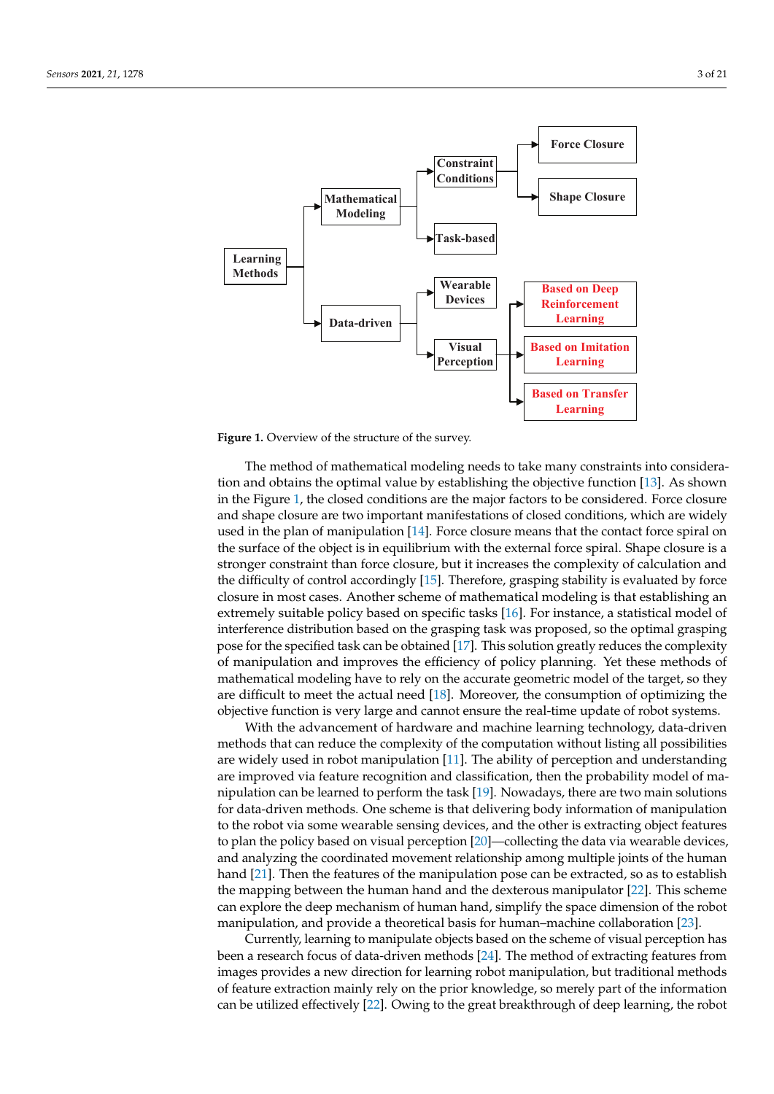<span id="page-2-0"></span>

Figure 1. Overview of the structure of the survey.

The method of mathematical modeling needs to take many constraints into consideration and obtains the optimal value by establishing the objective function [\[13\]](#page-15-12). As shown in the Figure [1,](#page-2-0) the closed conditions are the major factors to be considered. Force closure and shape closure are two important manifestations of closed conditions, which are widely used in the plan of manipulation [\[14\]](#page-15-13). Force closure means that the contact force spiral on the surface of the object is in equilibrium with the external force spiral. Shape closure is a stronger constraint than force closure, but it increases the complexity of calculation and the difficulty of control accordingly [\[15\]](#page-15-14). Therefore, grasping stability is evaluated by force closure in most cases. Another scheme of mathematical modeling is that establishing an extremely suitable policy based on specific tasks [\[16\]](#page-16-0). For instance, a statistical model of interference distribution based on the grasping task was proposed, so the optimal grasping pose for the specified task can be obtained [\[17\]](#page-16-1). This solution greatly reduces the complexity of manipulation and improves the efficiency of policy planning. Yet these methods of mathematical modeling have to rely on the accurate geometric model of the target, so they are difficult to meet the actual need [\[18\]](#page-16-2). Moreover, the consumption of optimizing the objective function is very large and cannot ensure the real-time update of robot systems.

With the advancement of hardware and machine learning technology, data-driven methods that can reduce the complexity of the computation without listing all possibilities are widely used in robot manipulation [\[11\]](#page-15-10). The ability of perception and understanding are improved via feature recognition and classification, then the probability model of manipulation can be learned to perform the task [\[19\]](#page-16-3). Nowadays, there are two main solutions for data-driven methods. One scheme is that delivering body information of manipulation to the robot via some wearable sensing devices, and the other is extracting object features to plan the policy based on visual perception [\[20\]](#page-16-4)—collecting the data via wearable devices, and analyzing the coordinated movement relationship among multiple joints of the human hand [\[21\]](#page-16-5). Then the features of the manipulation pose can be extracted, so as to establish the mapping between the human hand and the dexterous manipulator [\[22\]](#page-16-6). This scheme can explore the deep mechanism of human hand, simplify the space dimension of the robot manipulation, and provide a theoretical basis for human–machine collaboration [\[23\]](#page-16-7).

Currently, learning to manipulate objects based on the scheme of visual perception has been a research focus of data-driven methods [\[24\]](#page-16-8). The method of extracting features from images provides a new direction for learning robot manipulation, but traditional methods of feature extraction mainly rely on the prior knowledge, so merely part of the information can be utilized effectively [\[22\]](#page-16-6). Owing to the great breakthrough of deep learning, the robot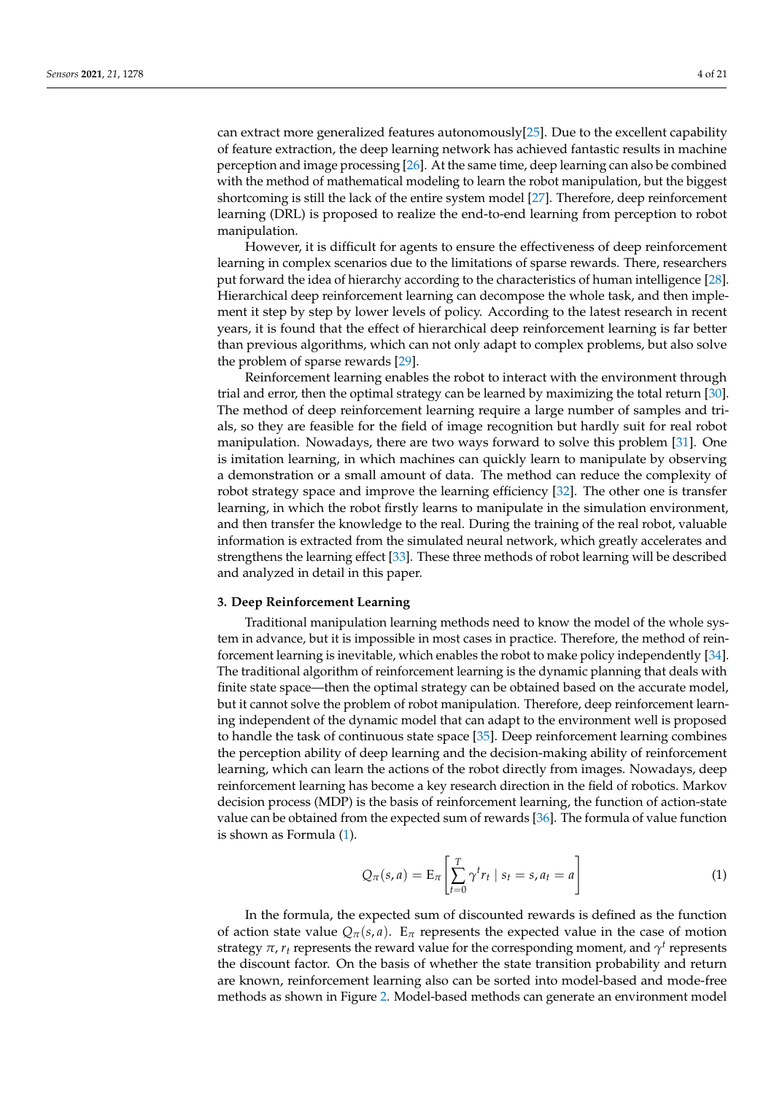can extract more generalized features autonomously[\[25\]](#page-16-9). Due to the excellent capability of feature extraction, the deep learning network has achieved fantastic results in machine perception and image processing [\[26\]](#page-16-10). At the same time, deep learning can also be combined with the method of mathematical modeling to learn the robot manipulation, but the biggest shortcoming is still the lack of the entire system model [\[27\]](#page-16-11). Therefore, deep reinforcement learning (DRL) is proposed to realize the end-to-end learning from perception to robot manipulation.

However, it is difficult for agents to ensure the effectiveness of deep reinforcement learning in complex scenarios due to the limitations of sparse rewards. There, researchers put forward the idea of hierarchy according to the characteristics of human intelligence [\[28\]](#page-16-12). Hierarchical deep reinforcement learning can decompose the whole task, and then implement it step by step by lower levels of policy. According to the latest research in recent years, it is found that the effect of hierarchical deep reinforcement learning is far better than previous algorithms, which can not only adapt to complex problems, but also solve the problem of sparse rewards [\[29\]](#page-16-13).

Reinforcement learning enables the robot to interact with the environment through trial and error, then the optimal strategy can be learned by maximizing the total return [\[30\]](#page-16-14). The method of deep reinforcement learning require a large number of samples and trials, so they are feasible for the field of image recognition but hardly suit for real robot manipulation. Nowadays, there are two ways forward to solve this problem [\[31\]](#page-16-15). One is imitation learning, in which machines can quickly learn to manipulate by observing a demonstration or a small amount of data. The method can reduce the complexity of robot strategy space and improve the learning efficiency [\[32\]](#page-16-16). The other one is transfer learning, in which the robot firstly learns to manipulate in the simulation environment, and then transfer the knowledge to the real. During the training of the real robot, valuable information is extracted from the simulated neural network, which greatly accelerates and strengthens the learning effect [\[33\]](#page-16-17). These three methods of robot learning will be described and analyzed in detail in this paper.

#### <span id="page-3-0"></span>**3. Deep Reinforcement Learning**

Traditional manipulation learning methods need to know the model of the whole system in advance, but it is impossible in most cases in practice. Therefore, the method of reinforcement learning is inevitable, which enables the robot to make policy independently [\[34\]](#page-16-18). The traditional algorithm of reinforcement learning is the dynamic planning that deals with finite state space—then the optimal strategy can be obtained based on the accurate model, but it cannot solve the problem of robot manipulation. Therefore, deep reinforcement learning independent of the dynamic model that can adapt to the environment well is proposed to handle the task of continuous state space [\[35\]](#page-16-19). Deep reinforcement learning combines the perception ability of deep learning and the decision-making ability of reinforcement learning, which can learn the actions of the robot directly from images. Nowadays, deep reinforcement learning has become a key research direction in the field of robotics. Markov decision process (MDP) is the basis of reinforcement learning, the function of action-state value can be obtained from the expected sum of rewards [\[36\]](#page-16-20). The formula of value function is shown as Formula [\(1\)](#page-3-1).

<span id="page-3-1"></span>
$$
Q_{\pi}(s, a) = \mathcal{E}_{\pi} \left[ \sum_{t=0}^{T} \gamma^{t} r_{t} \mid s_{t} = s, a_{t} = a \right]
$$
 (1)

In the formula, the expected sum of discounted rewards is defined as the function of action state value  $Q_{\pi}(s, a)$ . E<sub>*π*</sub> represents the expected value in the case of motion strategy  $\pi$ ,  $r_t$  represents the reward value for the corresponding moment, and  $\gamma^t$  represents the discount factor. On the basis of whether the state transition probability and return are known, reinforcement learning also can be sorted into model-based and mode-free methods as shown in Figure [2.](#page-4-0) Model-based methods can generate an environment model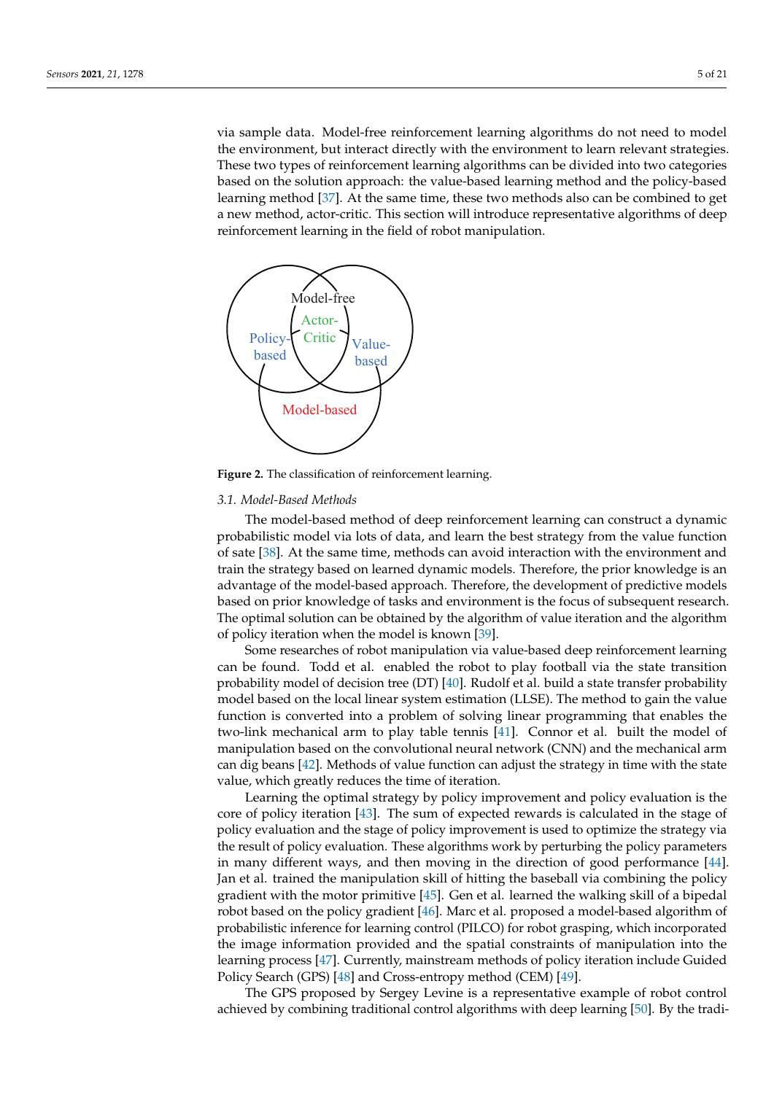via sample data. Model-free reinforcement learning algorithms do not need to model the environment, but interact directly with the environment to learn relevant strategies. These two types of reinforcement learning algorithms can be divided into two categories based on the solution approach: the value-based learning method and the policy-based learning method [\[37\]](#page-16-21). At the same time, these two methods also can be combined to get a new method, actor-critic. This section will introduce representative algorithms of deep reinforcement learning in the field of robot manipulation.

<span id="page-4-0"></span>

**Figure 2.** The classification of reinforcement learning.

#### *3.1. Model-Based Methods*

The model-based method of deep reinforcement learning can construct a dynamic probabilistic model via lots of data, and learn the best strategy from the value function of sate [\[38\]](#page-16-22). At the same time, methods can avoid interaction with the environment and train the strategy based on learned dynamic models. Therefore, the prior knowledge is an advantage of the model-based approach. Therefore, the development of predictive models based on prior knowledge of tasks and environment is the focus of subsequent research. The optimal solution can be obtained by the algorithm of value iteration and the algorithm of policy iteration when the model is known [\[39\]](#page-16-23).

Some researches of robot manipulation via value-based deep reinforcement learning can be found. Todd et al. enabled the robot to play football via the state transition probability model of decision tree (DT) [\[40\]](#page-16-24). Rudolf et al. build a state transfer probability model based on the local linear system estimation (LLSE). The method to gain the value function is converted into a problem of solving linear programming that enables the two-link mechanical arm to play table tennis [\[41\]](#page-16-25). Connor et al. built the model of manipulation based on the convolutional neural network (CNN) and the mechanical arm can dig beans [\[42\]](#page-16-26). Methods of value function can adjust the strategy in time with the state value, which greatly reduces the time of iteration.

Learning the optimal strategy by policy improvement and policy evaluation is the core of policy iteration [\[43\]](#page-16-27). The sum of expected rewards is calculated in the stage of policy evaluation and the stage of policy improvement is used to optimize the strategy via the result of policy evaluation. These algorithms work by perturbing the policy parameters in many different ways, and then moving in the direction of good performance [\[44\]](#page-16-28). Jan et al. trained the manipulation skill of hitting the baseball via combining the policy gradient with the motor primitive [\[45\]](#page-16-29). Gen et al. learned the walking skill of a bipedal robot based on the policy gradient [\[46\]](#page-17-0). Marc et al. proposed a model-based algorithm of probabilistic inference for learning control (PILCO) for robot grasping, which incorporated the image information provided and the spatial constraints of manipulation into the learning process [\[47\]](#page-17-1). Currently, mainstream methods of policy iteration include Guided Policy Search (GPS) [\[48\]](#page-17-2) and Cross-entropy method (CEM) [\[49\]](#page-17-3).

The GPS proposed by Sergey Levine is a representative example of robot control achieved by combining traditional control algorithms with deep learning [\[50\]](#page-17-4). By the tradi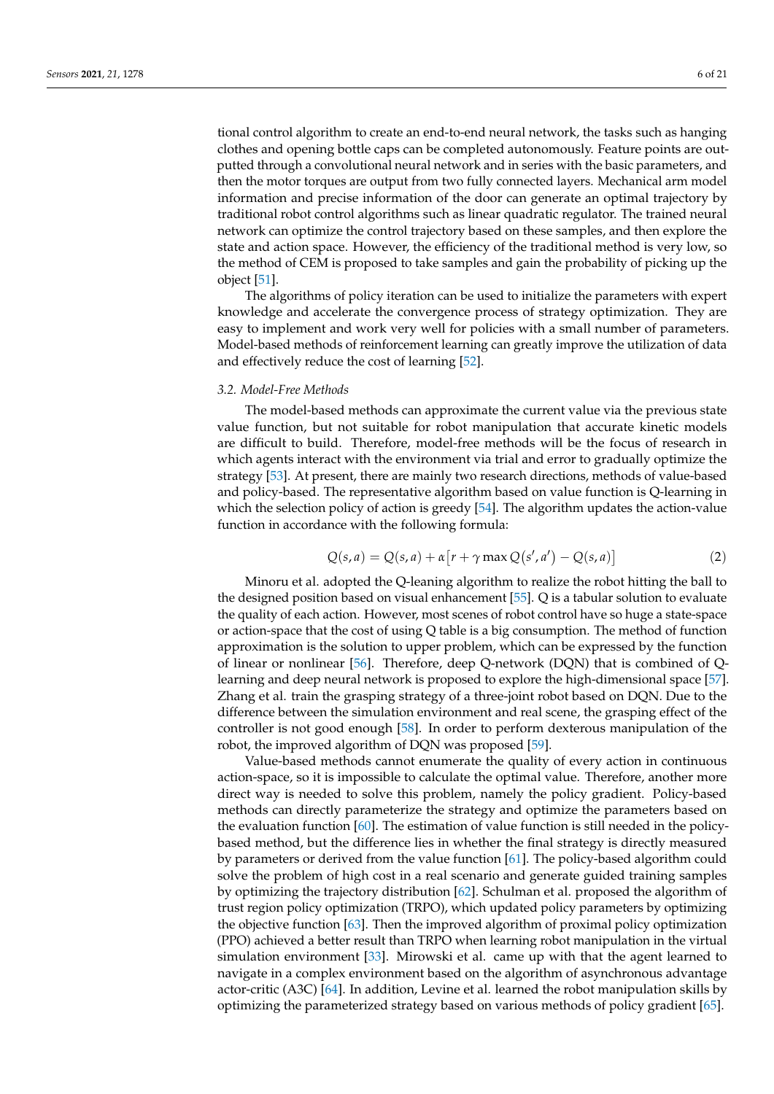tional control algorithm to create an end-to-end neural network, the tasks such as hanging clothes and opening bottle caps can be completed autonomously. Feature points are outputted through a convolutional neural network and in series with the basic parameters, and then the motor torques are output from two fully connected layers. Mechanical arm model information and precise information of the door can generate an optimal trajectory by traditional robot control algorithms such as linear quadratic regulator. The trained neural network can optimize the control trajectory based on these samples, and then explore the state and action space. However, the efficiency of the traditional method is very low, so the method of CEM is proposed to take samples and gain the probability of picking up the object [\[51\]](#page-17-5).

The algorithms of policy iteration can be used to initialize the parameters with expert knowledge and accelerate the convergence process of strategy optimization. They are easy to implement and work very well for policies with a small number of parameters. Model-based methods of reinforcement learning can greatly improve the utilization of data and effectively reduce the cost of learning [\[52\]](#page-17-6).

#### *3.2. Model-Free Methods*

The model-based methods can approximate the current value via the previous state value function, but not suitable for robot manipulation that accurate kinetic models are difficult to build. Therefore, model-free methods will be the focus of research in which agents interact with the environment via trial and error to gradually optimize the strategy [\[53\]](#page-17-7). At present, there are mainly two research directions, methods of value-based and policy-based. The representative algorithm based on value function is Q-learning in which the selection policy of action is greedy [\[54\]](#page-17-8). The algorithm updates the action-value function in accordance with the following formula:

$$
Q(s,a) = Q(s,a) + \alpha \left[ r + \gamma \max Q(s',a') - Q(s,a) \right]
$$
 (2)

Minoru et al. adopted the Q-leaning algorithm to realize the robot hitting the ball to the designed position based on visual enhancement [\[55\]](#page-17-9). Q is a tabular solution to evaluate the quality of each action. However, most scenes of robot control have so huge a state-space or action-space that the cost of using Q table is a big consumption. The method of function approximation is the solution to upper problem, which can be expressed by the function of linear or nonlinear [\[56\]](#page-17-10). Therefore, deep Q-network (DQN) that is combined of Qlearning and deep neural network is proposed to explore the high-dimensional space [\[57\]](#page-17-11). Zhang et al. train the grasping strategy of a three-joint robot based on DQN. Due to the difference between the simulation environment and real scene, the grasping effect of the controller is not good enough [\[58\]](#page-17-12). In order to perform dexterous manipulation of the robot, the improved algorithm of DQN was proposed [\[59\]](#page-17-13).

Value-based methods cannot enumerate the quality of every action in continuous action-space, so it is impossible to calculate the optimal value. Therefore, another more direct way is needed to solve this problem, namely the policy gradient. Policy-based methods can directly parameterize the strategy and optimize the parameters based on the evaluation function [\[60\]](#page-17-14). The estimation of value function is still needed in the policybased method, but the difference lies in whether the final strategy is directly measured by parameters or derived from the value function [\[61\]](#page-17-15). The policy-based algorithm could solve the problem of high cost in a real scenario and generate guided training samples by optimizing the trajectory distribution [\[62\]](#page-17-16). Schulman et al. proposed the algorithm of trust region policy optimization (TRPO), which updated policy parameters by optimizing the objective function [\[63\]](#page-17-17). Then the improved algorithm of proximal policy optimization (PPO) achieved a better result than TRPO when learning robot manipulation in the virtual simulation environment [\[33\]](#page-16-17). Mirowski et al. came up with that the agent learned to navigate in a complex environment based on the algorithm of asynchronous advantage actor-critic (A3C) [\[64\]](#page-17-18). In addition, Levine et al. learned the robot manipulation skills by optimizing the parameterized strategy based on various methods of policy gradient [\[65\]](#page-17-19).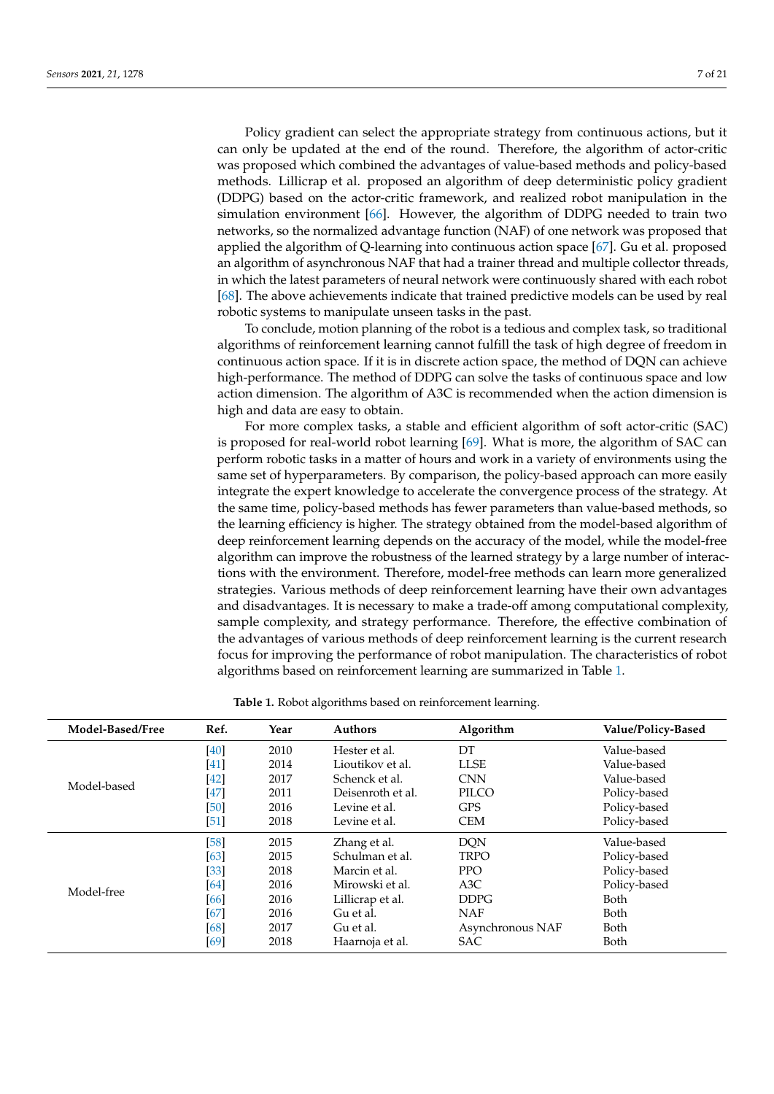Policy gradient can select the appropriate strategy from continuous actions, but it can only be updated at the end of the round. Therefore, the algorithm of actor-critic was proposed which combined the advantages of value-based methods and policy-based methods. Lillicrap et al. proposed an algorithm of deep deterministic policy gradient (DDPG) based on the actor-critic framework, and realized robot manipulation in the simulation environment [\[66\]](#page-17-20). However, the algorithm of DDPG needed to train two networks, so the normalized advantage function (NAF) of one network was proposed that applied the algorithm of Q-learning into continuous action space [\[67\]](#page-17-21). Gu et al. proposed an algorithm of asynchronous NAF that had a trainer thread and multiple collector threads, in which the latest parameters of neural network were continuously shared with each robot [\[68\]](#page-17-22). The above achievements indicate that trained predictive models can be used by real robotic systems to manipulate unseen tasks in the past.

To conclude, motion planning of the robot is a tedious and complex task, so traditional algorithms of reinforcement learning cannot fulfill the task of high degree of freedom in continuous action space. If it is in discrete action space, the method of DQN can achieve high-performance. The method of DDPG can solve the tasks of continuous space and low action dimension. The algorithm of A3C is recommended when the action dimension is high and data are easy to obtain.

For more complex tasks, a stable and efficient algorithm of soft actor-critic (SAC) is proposed for real-world robot learning [\[69\]](#page-17-23). What is more, the algorithm of SAC can perform robotic tasks in a matter of hours and work in a variety of environments using the same set of hyperparameters. By comparison, the policy-based approach can more easily integrate the expert knowledge to accelerate the convergence process of the strategy. At the same time, policy-based methods has fewer parameters than value-based methods, so the learning efficiency is higher. The strategy obtained from the model-based algorithm of deep reinforcement learning depends on the accuracy of the model, while the model-free algorithm can improve the robustness of the learned strategy by a large number of interactions with the environment. Therefore, model-free methods can learn more generalized strategies. Various methods of deep reinforcement learning have their own advantages and disadvantages. It is necessary to make a trade-off among computational complexity, sample complexity, and strategy performance. Therefore, the effective combination of the advantages of various methods of deep reinforcement learning is the current research focus for improving the performance of robot manipulation. The characteristics of robot algorithms based on reinforcement learning are summarized in Table [1.](#page-6-0)

|  |  | Table 1. Robot algorithms based on reinforcement learning. |  |
|--|--|------------------------------------------------------------|--|
|  |  |                                                            |  |

<span id="page-6-0"></span>

| Model-Based/Free | Ref.   | Year | <b>Authors</b>    | Algorithm        | Value/Policy-Based |
|------------------|--------|------|-------------------|------------------|--------------------|
|                  | [40]   | 2010 | Hester et al.     | DT               | Value-based        |
|                  | [41]   | 2014 | Lioutikov et al.  | <b>LLSE</b>      | Value-based        |
|                  | $[42]$ | 2017 | Schenck et al.    | <b>CNN</b>       | Value-based        |
| Model-based      | $[47]$ | 2011 | Deisenroth et al. | PILCO            | Policy-based       |
|                  | [50]   | 2016 | Levine et al.     | <b>GPS</b>       | Policy-based       |
|                  | $[51]$ | 2018 | Levine et al.     | <b>CEM</b>       | Policy-based       |
|                  | [58]   | 2015 | Zhang et al.      | <b>DQN</b>       | Value-based        |
|                  | [63]   | 2015 | Schulman et al.   | <b>TRPO</b>      | Policy-based       |
|                  | $[33]$ | 2018 | Marcin et al.     | <b>PPO</b>       | Policy-based       |
| Model-free       | [64]   | 2016 | Mirowski et al.   | A3C              | Policy-based       |
|                  | [66]   | 2016 | Lillicrap et al.  | <b>DDPG</b>      | Both               |
|                  | [67]   | 2016 | Gu et al.         | <b>NAF</b>       | Both               |
|                  | [68]   | 2017 | Gu et al.         | Asynchronous NAF | Both               |
|                  | [69]   | 2018 | Haarnoja et al.   | SAC              | Both               |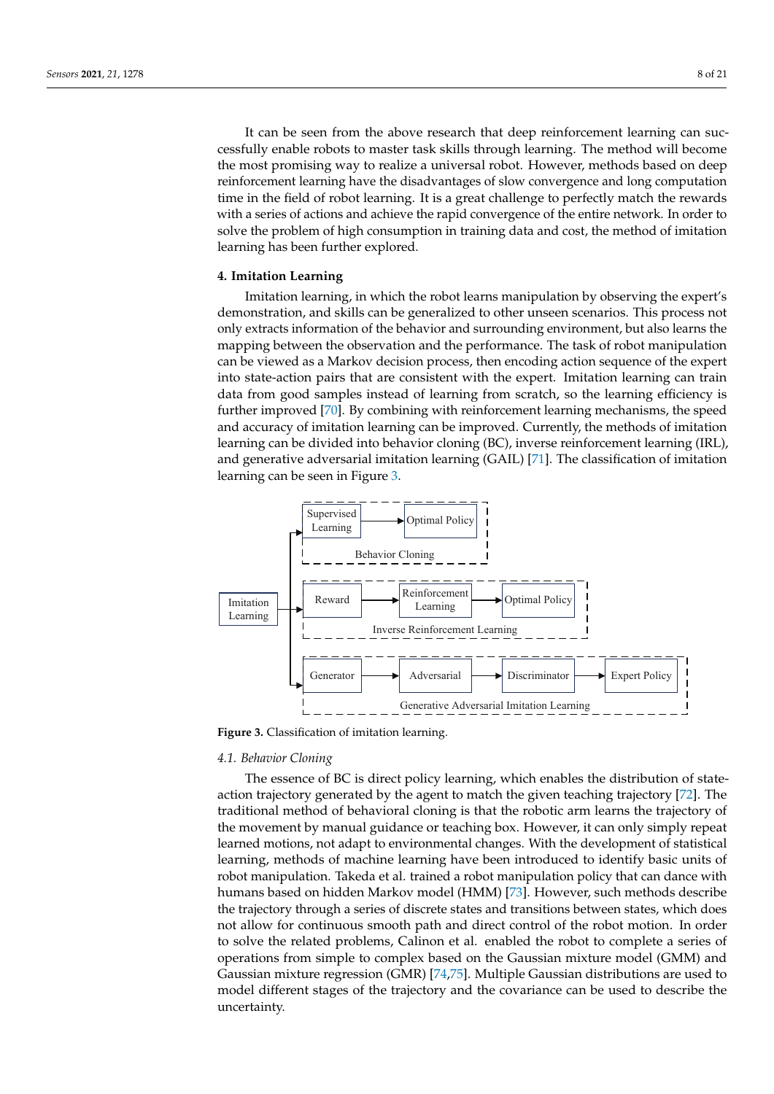It can be seen from the above research that deep reinforcement learning can successfully enable robots to master task skills through learning. The method will become the most promising way to realize a universal robot. However, methods based on deep reinforcement learning have the disadvantages of slow convergence and long computation time in the field of robot learning. It is a great challenge to perfectly match the rewards with a series of actions and achieve the rapid convergence of the entire network. In order to solve the problem of high consumption in training data and cost, the method of imitation learning has been further explored.

# <span id="page-7-0"></span>**4. Imitation Learning**

Imitation learning, in which the robot learns manipulation by observing the expert's demonstration, and skills can be generalized to other unseen scenarios. This process not only extracts information of the behavior and surrounding environment, but also learns the mapping between the observation and the performance. The task of robot manipulation can be viewed as a Markov decision process, then encoding action sequence of the expert into state-action pairs that are consistent with the expert. Imitation learning can train data from good samples instead of learning from scratch, so the learning efficiency is further improved [\[70\]](#page-17-24). By combining with reinforcement learning mechanisms, the speed and accuracy of imitation learning can be improved. Currently, the methods of imitation learning can be divided into behavior cloning (BC), inverse reinforcement learning (IRL), and generative adversarial imitation learning (GAIL) [\[71\]](#page-17-25). The classification of imitation learning can be seen in Figure [3.](#page-7-1)

<span id="page-7-1"></span>

**Figure 3.** Classification of imitation learning.

# *4.1. Behavior Cloning*

The essence of BC is direct policy learning, which enables the distribution of stateaction trajectory generated by the agent to match the given teaching trajectory [\[72\]](#page-17-26). The traditional method of behavioral cloning is that the robotic arm learns the trajectory of the movement by manual guidance or teaching box. However, it can only simply repeat learned motions, not adapt to environmental changes. With the development of statistical learning, methods of machine learning have been introduced to identify basic units of robot manipulation. Takeda et al. trained a robot manipulation policy that can dance with humans based on hidden Markov model (HMM) [\[73\]](#page-17-27). However, such methods describe the trajectory through a series of discrete states and transitions between states, which does not allow for continuous smooth path and direct control of the robot motion. In order to solve the related problems, Calinon et al. enabled the robot to complete a series of operations from simple to complex based on the Gaussian mixture model (GMM) and Gaussian mixture regression (GMR) [\[74](#page-17-28)[,75\]](#page-18-0). Multiple Gaussian distributions are used to model different stages of the trajectory and the covariance can be used to describe the uncertainty.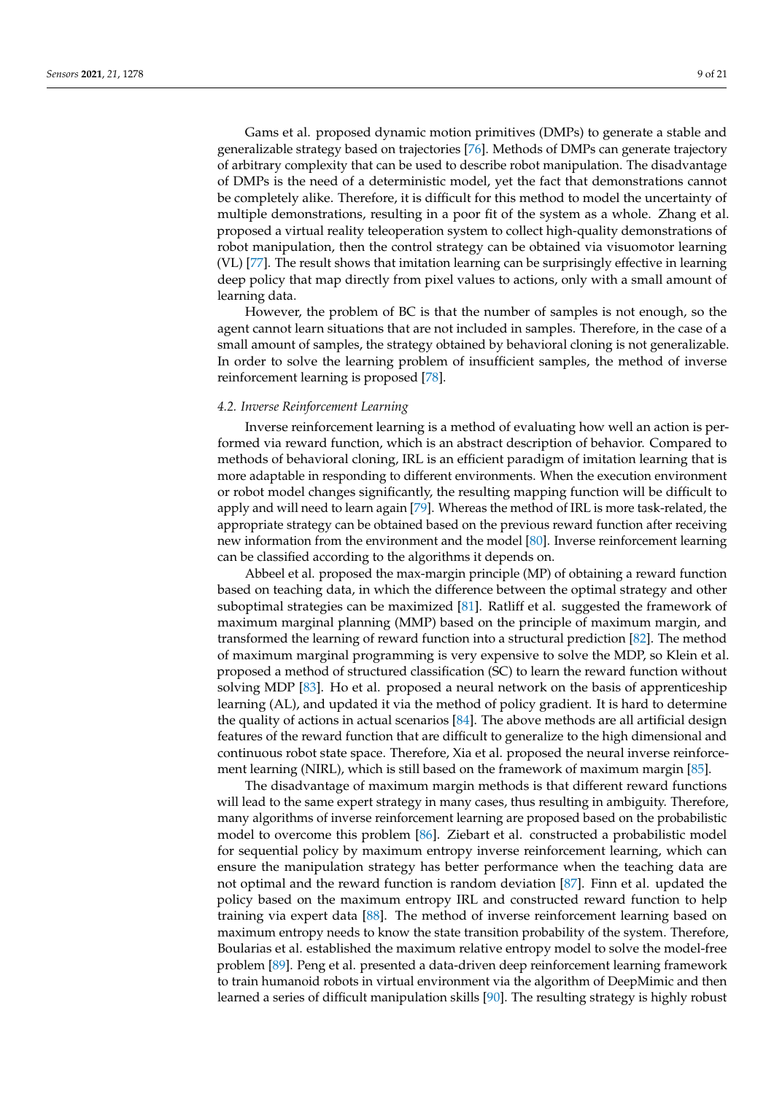Gams et al. proposed dynamic motion primitives (DMPs) to generate a stable and generalizable strategy based on trajectories [\[76\]](#page-18-1). Methods of DMPs can generate trajectory of arbitrary complexity that can be used to describe robot manipulation. The disadvantage of DMPs is the need of a deterministic model, yet the fact that demonstrations cannot be completely alike. Therefore, it is difficult for this method to model the uncertainty of multiple demonstrations, resulting in a poor fit of the system as a whole. Zhang et al. proposed a virtual reality teleoperation system to collect high-quality demonstrations of robot manipulation, then the control strategy can be obtained via visuomotor learning (VL) [\[77\]](#page-18-2). The result shows that imitation learning can be surprisingly effective in learning deep policy that map directly from pixel values to actions, only with a small amount of learning data.

However, the problem of BC is that the number of samples is not enough, so the agent cannot learn situations that are not included in samples. Therefore, in the case of a small amount of samples, the strategy obtained by behavioral cloning is not generalizable. In order to solve the learning problem of insufficient samples, the method of inverse reinforcement learning is proposed [\[78\]](#page-18-3).

#### *4.2. Inverse Reinforcement Learning*

Inverse reinforcement learning is a method of evaluating how well an action is performed via reward function, which is an abstract description of behavior. Compared to methods of behavioral cloning, IRL is an efficient paradigm of imitation learning that is more adaptable in responding to different environments. When the execution environment or robot model changes significantly, the resulting mapping function will be difficult to apply and will need to learn again [\[79\]](#page-18-4). Whereas the method of IRL is more task-related, the appropriate strategy can be obtained based on the previous reward function after receiving new information from the environment and the model [\[80\]](#page-18-5). Inverse reinforcement learning can be classified according to the algorithms it depends on.

Abbeel et al. proposed the max-margin principle (MP) of obtaining a reward function based on teaching data, in which the difference between the optimal strategy and other suboptimal strategies can be maximized [\[81\]](#page-18-6). Ratliff et al. suggested the framework of maximum marginal planning (MMP) based on the principle of maximum margin, and transformed the learning of reward function into a structural prediction [\[82\]](#page-18-7). The method of maximum marginal programming is very expensive to solve the MDP, so Klein et al. proposed a method of structured classification (SC) to learn the reward function without solving MDP [\[83\]](#page-18-8). Ho et al. proposed a neural network on the basis of apprenticeship learning (AL), and updated it via the method of policy gradient. It is hard to determine the quality of actions in actual scenarios [\[84\]](#page-18-9). The above methods are all artificial design features of the reward function that are difficult to generalize to the high dimensional and continuous robot state space. Therefore, Xia et al. proposed the neural inverse reinforcement learning (NIRL), which is still based on the framework of maximum margin [\[85\]](#page-18-10).

The disadvantage of maximum margin methods is that different reward functions will lead to the same expert strategy in many cases, thus resulting in ambiguity. Therefore, many algorithms of inverse reinforcement learning are proposed based on the probabilistic model to overcome this problem [\[86\]](#page-18-11). Ziebart et al. constructed a probabilistic model for sequential policy by maximum entropy inverse reinforcement learning, which can ensure the manipulation strategy has better performance when the teaching data are not optimal and the reward function is random deviation [\[87\]](#page-18-12). Finn et al. updated the policy based on the maximum entropy IRL and constructed reward function to help training via expert data [\[88\]](#page-18-13). The method of inverse reinforcement learning based on maximum entropy needs to know the state transition probability of the system. Therefore, Boularias et al. established the maximum relative entropy model to solve the model-free problem [\[89\]](#page-18-14). Peng et al. presented a data-driven deep reinforcement learning framework to train humanoid robots in virtual environment via the algorithm of DeepMimic and then learned a series of difficult manipulation skills [\[90\]](#page-18-15). The resulting strategy is highly robust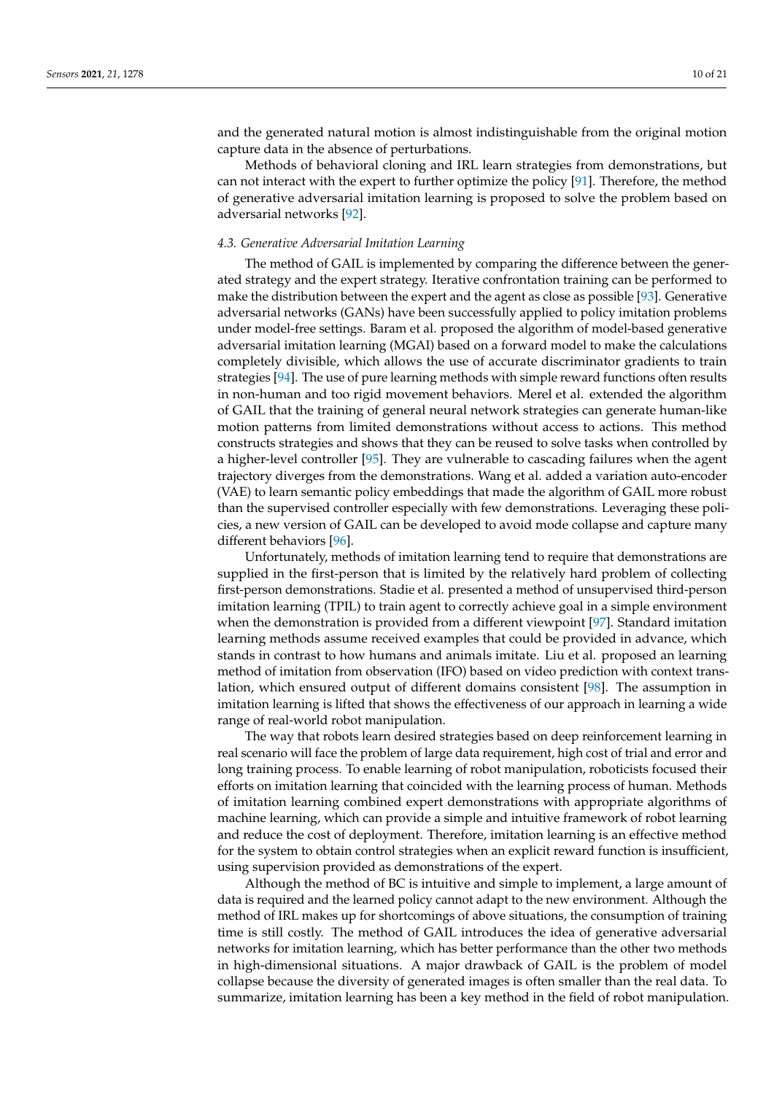and the generated natural motion is almost indistinguishable from the original motion capture data in the absence of perturbations.

Methods of behavioral cloning and IRL learn strategies from demonstrations, but can not interact with the expert to further optimize the policy [\[91\]](#page-18-16). Therefore, the method of generative adversarial imitation learning is proposed to solve the problem based on adversarial networks [\[92\]](#page-18-17).

#### *4.3. Generative Adversarial Imitation Learning*

The method of GAIL is implemented by comparing the difference between the generated strategy and the expert strategy. Iterative confrontation training can be performed to make the distribution between the expert and the agent as close as possible [\[93\]](#page-18-18). Generative adversarial networks (GANs) have been successfully applied to policy imitation problems under model-free settings. Baram et al. proposed the algorithm of model-based generative adversarial imitation learning (MGAI) based on a forward model to make the calculations completely divisible, which allows the use of accurate discriminator gradients to train strategies [\[94\]](#page-18-19). The use of pure learning methods with simple reward functions often results in non-human and too rigid movement behaviors. Merel et al. extended the algorithm of GAIL that the training of general neural network strategies can generate human-like motion patterns from limited demonstrations without access to actions. This method constructs strategies and shows that they can be reused to solve tasks when controlled by a higher-level controller [\[95\]](#page-18-20). They are vulnerable to cascading failures when the agent trajectory diverges from the demonstrations. Wang et al. added a variation auto-encoder (VAE) to learn semantic policy embeddings that made the algorithm of GAIL more robust than the supervised controller especially with few demonstrations. Leveraging these policies, a new version of GAIL can be developed to avoid mode collapse and capture many different behaviors [\[96\]](#page-18-21).

Unfortunately, methods of imitation learning tend to require that demonstrations are supplied in the first-person that is limited by the relatively hard problem of collecting first-person demonstrations. Stadie et al. presented a method of unsupervised third-person imitation learning (TPIL) to train agent to correctly achieve goal in a simple environment when the demonstration is provided from a different viewpoint [\[97\]](#page-18-22). Standard imitation learning methods assume received examples that could be provided in advance, which stands in contrast to how humans and animals imitate. Liu et al. proposed an learning method of imitation from observation (IFO) based on video prediction with context translation, which ensured output of different domains consistent [\[98\]](#page-18-23). The assumption in imitation learning is lifted that shows the effectiveness of our approach in learning a wide range of real-world robot manipulation.

The way that robots learn desired strategies based on deep reinforcement learning in real scenario will face the problem of large data requirement, high cost of trial and error and long training process. To enable learning of robot manipulation, roboticists focused their efforts on imitation learning that coincided with the learning process of human. Methods of imitation learning combined expert demonstrations with appropriate algorithms of machine learning, which can provide a simple and intuitive framework of robot learning and reduce the cost of deployment. Therefore, imitation learning is an effective method for the system to obtain control strategies when an explicit reward function is insufficient, using supervision provided as demonstrations of the expert.

Although the method of BC is intuitive and simple to implement, a large amount of data is required and the learned policy cannot adapt to the new environment. Although the method of IRL makes up for shortcomings of above situations, the consumption of training time is still costly. The method of GAIL introduces the idea of generative adversarial networks for imitation learning, which has better performance than the other two methods in high-dimensional situations. A major drawback of GAIL is the problem of model collapse because the diversity of generated images is often smaller than the real data. To summarize, imitation learning has been a key method in the field of robot manipulation.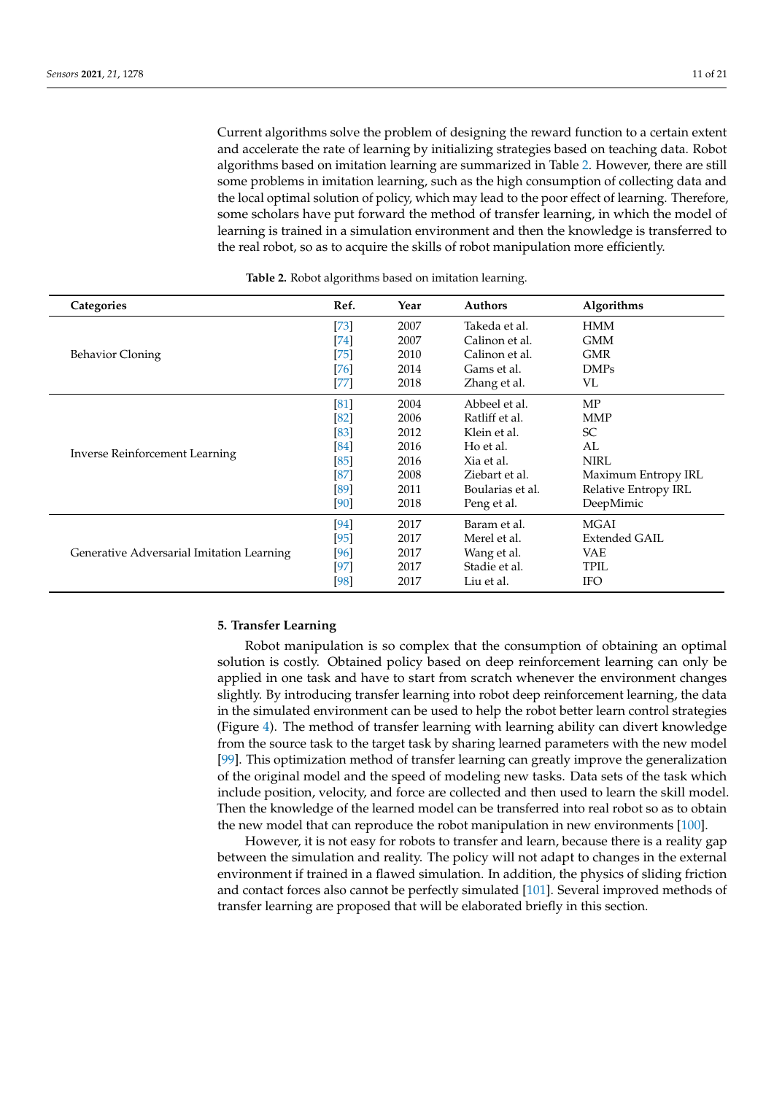Current algorithms solve the problem of designing the reward function to a certain extent and accelerate the rate of learning by initializing strategies based on teaching data. Robot algorithms based on imitation learning are summarized in Table [2.](#page-10-1) However, there are still some problems in imitation learning, such as the high consumption of collecting data and the local optimal solution of policy, which may lead to the poor effect of learning. Therefore, some scholars have put forward the method of transfer learning, in which the model of learning is trained in a simulation environment and then the knowledge is transferred to the real robot, so as to acquire the skills of robot manipulation more efficiently.

<span id="page-10-1"></span>

| Categories                                | Ref.   | Year | <b>Authors</b>   | Algorithms           |
|-------------------------------------------|--------|------|------------------|----------------------|
|                                           | $[73]$ | 2007 | Takeda et al.    | <b>HMM</b>           |
|                                           | [74]   | 2007 | Calinon et al.   | <b>GMM</b>           |
| Behavior Cloning                          | $[75]$ | 2010 | Calinon et al.   | <b>GMR</b>           |
|                                           | [76]   | 2014 | Gams et al.      | <b>DMPs</b>          |
|                                           | $[77]$ | 2018 | Zhang et al.     | VL                   |
|                                           | [81]   | 2004 | Abbeel et al.    | MP                   |
|                                           | [82]   | 2006 | Ratliff et al.   | <b>MMP</b>           |
|                                           | [83]   | 2012 | Klein et al.     | <b>SC</b>            |
|                                           | [84]   | 2016 | Ho et al.        | AL                   |
| <b>Inverse Reinforcement Learning</b>     | [85]   | 2016 | Xia et al.       | <b>NIRL</b>          |
|                                           | [87]   | 2008 | Ziebart et al.   | Maximum Entropy IRL  |
|                                           | [89]   | 2011 | Boularias et al. | Relative Entropy IRL |
|                                           | [90]   | 2018 | Peng et al.      | DeepMimic            |
|                                           | [94]   | 2017 | Baram et al.     | <b>MGAI</b>          |
|                                           | [95]   | 2017 | Merel et al.     | Extended GAIL        |
| Generative Adversarial Imitation Learning | [96]   | 2017 | Wang et al.      | VAE                  |
|                                           | $[97]$ | 2017 | Stadie et al.    | TPIL                 |
|                                           | [98]   | 2017 | Liu et al.       | <b>IFO</b>           |

**Table 2.** Robot algorithms based on imitation learning.

#### <span id="page-10-0"></span>**5. Transfer Learning**

Robot manipulation is so complex that the consumption of obtaining an optimal solution is costly. Obtained policy based on deep reinforcement learning can only be applied in one task and have to start from scratch whenever the environment changes slightly. By introducing transfer learning into robot deep reinforcement learning, the data in the simulated environment can be used to help the robot better learn control strategies (Figure [4\)](#page-11-0). The method of transfer learning with learning ability can divert knowledge from the source task to the target task by sharing learned parameters with the new model [\[99\]](#page-18-24). This optimization method of transfer learning can greatly improve the generalization of the original model and the speed of modeling new tasks. Data sets of the task which include position, velocity, and force are collected and then used to learn the skill model. Then the knowledge of the learned model can be transferred into real robot so as to obtain the new model that can reproduce the robot manipulation in new environments [\[100\]](#page-18-25).

However, it is not easy for robots to transfer and learn, because there is a reality gap between the simulation and reality. The policy will not adapt to changes in the external environment if trained in a flawed simulation. In addition, the physics of sliding friction and contact forces also cannot be perfectly simulated [\[101\]](#page-18-26). Several improved methods of transfer learning are proposed that will be elaborated briefly in this section.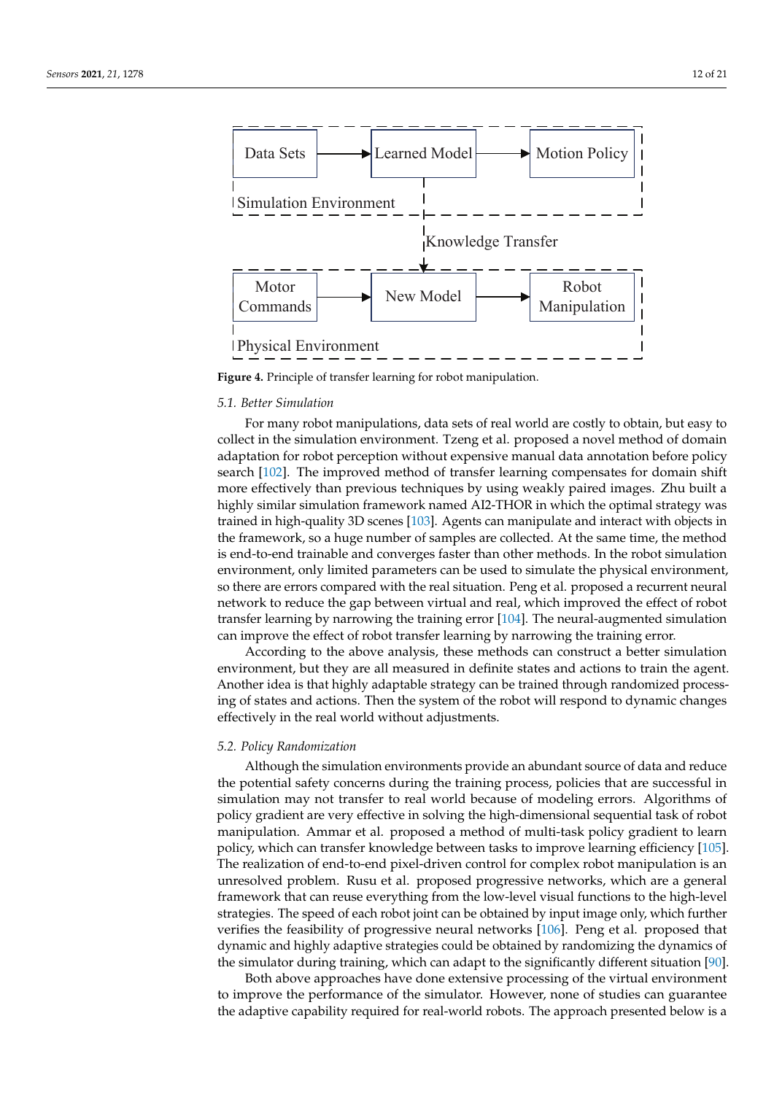

<span id="page-11-0"></span>

**Figure 4.** Principle of transfer learning for robot manipulation.

### *5.1. Better Simulation*

For many robot manipulations, data sets of real world are costly to obtain, but easy to collect in the simulation environment. Tzeng et al. proposed a novel method of domain adaptation for robot perception without expensive manual data annotation before policy search [\[102\]](#page-18-27). The improved method of transfer learning compensates for domain shift more effectively than previous techniques by using weakly paired images. Zhu built a highly similar simulation framework named AI2-THOR in which the optimal strategy was trained in high-quality 3D scenes [\[103\]](#page-18-28). Agents can manipulate and interact with objects in the framework, so a huge number of samples are collected. At the same time, the method is end-to-end trainable and converges faster than other methods. In the robot simulation environment, only limited parameters can be used to simulate the physical environment, so there are errors compared with the real situation. Peng et al. proposed a recurrent neural network to reduce the gap between virtual and real, which improved the effect of robot transfer learning by narrowing the training error [\[104\]](#page-19-0). The neural-augmented simulation can improve the effect of robot transfer learning by narrowing the training error.

According to the above analysis, these methods can construct a better simulation environment, but they are all measured in definite states and actions to train the agent. Another idea is that highly adaptable strategy can be trained through randomized processing of states and actions. Then the system of the robot will respond to dynamic changes effectively in the real world without adjustments.

# *5.2. Policy Randomization*

Although the simulation environments provide an abundant source of data and reduce the potential safety concerns during the training process, policies that are successful in simulation may not transfer to real world because of modeling errors. Algorithms of policy gradient are very effective in solving the high-dimensional sequential task of robot manipulation. Ammar et al. proposed a method of multi-task policy gradient to learn policy, which can transfer knowledge between tasks to improve learning efficiency [\[105\]](#page-19-1). The realization of end-to-end pixel-driven control for complex robot manipulation is an unresolved problem. Rusu et al. proposed progressive networks, which are a general framework that can reuse everything from the low-level visual functions to the high-level strategies. The speed of each robot joint can be obtained by input image only, which further verifies the feasibility of progressive neural networks [\[106\]](#page-19-2). Peng et al. proposed that dynamic and highly adaptive strategies could be obtained by randomizing the dynamics of the simulator during training, which can adapt to the significantly different situation [\[90\]](#page-18-15).

Both above approaches have done extensive processing of the virtual environment to improve the performance of the simulator. However, none of studies can guarantee the adaptive capability required for real-world robots. The approach presented below is a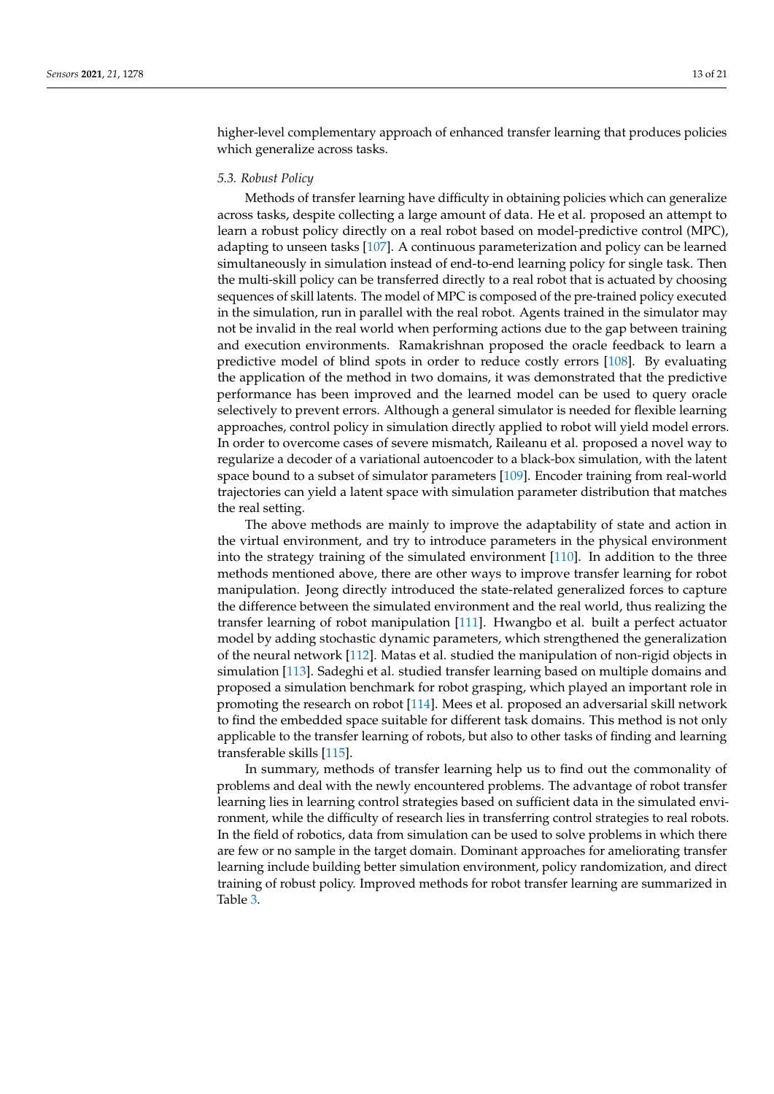higher-level complementary approach of enhanced transfer learning that produces policies which generalize across tasks.

# *5.3. Robust Policy*

Methods of transfer learning have difficulty in obtaining policies which can generalize across tasks, despite collecting a large amount of data. He et al. proposed an attempt to learn a robust policy directly on a real robot based on model-predictive control (MPC), adapting to unseen tasks [\[107\]](#page-19-3). A continuous parameterization and policy can be learned simultaneously in simulation instead of end-to-end learning policy for single task. Then the multi-skill policy can be transferred directly to a real robot that is actuated by choosing sequences of skill latents. The model of MPC is composed of the pre-trained policy executed in the simulation, run in parallel with the real robot. Agents trained in the simulator may not be invalid in the real world when performing actions due to the gap between training and execution environments. Ramakrishnan proposed the oracle feedback to learn a predictive model of blind spots in order to reduce costly errors [\[108\]](#page-19-4). By evaluating the application of the method in two domains, it was demonstrated that the predictive performance has been improved and the learned model can be used to query oracle selectively to prevent errors. Although a general simulator is needed for flexible learning approaches, control policy in simulation directly applied to robot will yield model errors. In order to overcome cases of severe mismatch, Raileanu et al. proposed a novel way to regularize a decoder of a variational autoencoder to a black-box simulation, with the latent space bound to a subset of simulator parameters [\[109\]](#page-19-5). Encoder training from real-world trajectories can yield a latent space with simulation parameter distribution that matches the real setting.

The above methods are mainly to improve the adaptability of state and action in the virtual environment, and try to introduce parameters in the physical environment into the strategy training of the simulated environment [\[110\]](#page-19-6). In addition to the three methods mentioned above, there are other ways to improve transfer learning for robot manipulation. Jeong directly introduced the state-related generalized forces to capture the difference between the simulated environment and the real world, thus realizing the transfer learning of robot manipulation [\[111\]](#page-19-7). Hwangbo et al. built a perfect actuator model by adding stochastic dynamic parameters, which strengthened the generalization of the neural network [\[112\]](#page-19-8). Matas et al. studied the manipulation of non-rigid objects in simulation [\[113\]](#page-19-9). Sadeghi et al. studied transfer learning based on multiple domains and proposed a simulation benchmark for robot grasping, which played an important role in promoting the research on robot [\[114\]](#page-19-10). Mees et al. proposed an adversarial skill network to find the embedded space suitable for different task domains. This method is not only applicable to the transfer learning of robots, but also to other tasks of finding and learning transferable skills [\[115\]](#page-19-11).

In summary, methods of transfer learning help us to find out the commonality of problems and deal with the newly encountered problems. The advantage of robot transfer learning lies in learning control strategies based on sufficient data in the simulated environment, while the difficulty of research lies in transferring control strategies to real robots. In the field of robotics, data from simulation can be used to solve problems in which there are few or no sample in the target domain. Dominant approaches for ameliorating transfer learning include building better simulation environment, policy randomization, and direct training of robust policy. Improved methods for robot transfer learning are summarized in Table [3.](#page-13-0)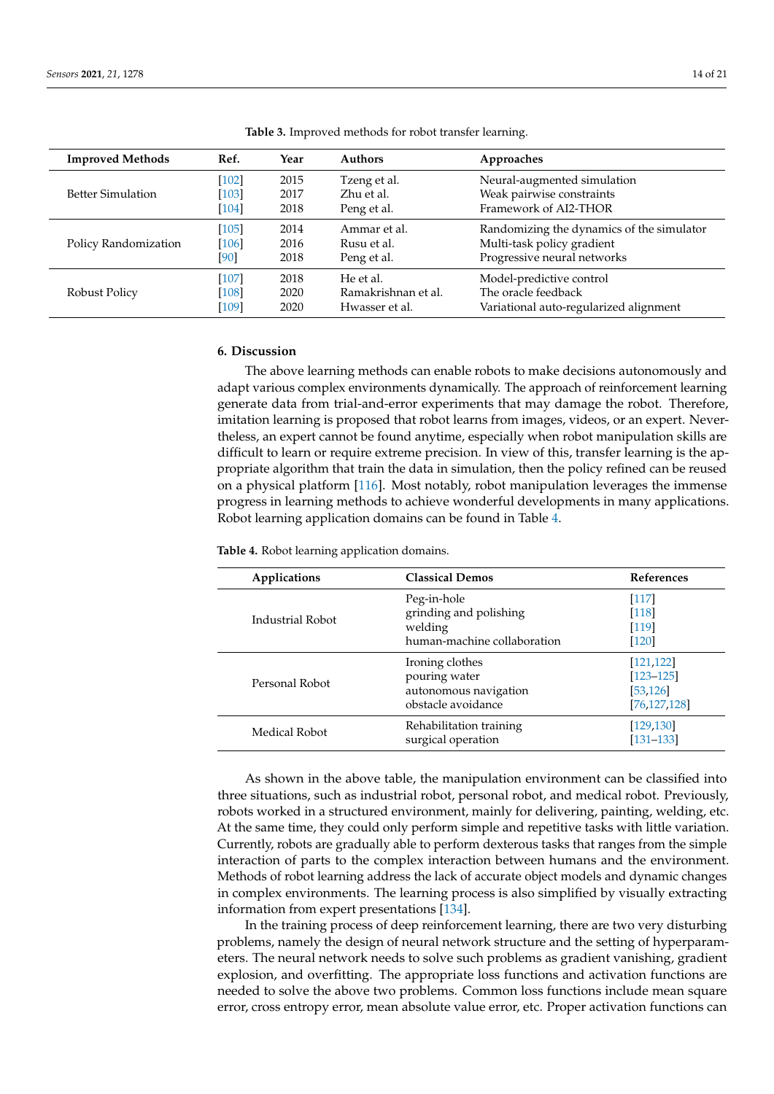<span id="page-13-0"></span>

| <b>Improved Methods</b>  | Ref.    | Year | <b>Authors</b>      | Approaches                                |
|--------------------------|---------|------|---------------------|-------------------------------------------|
|                          | $[102]$ | 2015 | Tzeng et al.        | Neural-augmented simulation               |
| <b>Better Simulation</b> | $[103]$ | 2017 | Zhu et al.          | Weak pairwise constraints                 |
|                          | [104]   | 2018 | Peng et al.         | Framework of AI2-THOR                     |
|                          | $[105]$ | 2014 | Ammar et al.        | Randomizing the dynamics of the simulator |
| Policy Randomization     | $[106]$ | 2016 | Rusu et al.         | Multi-task policy gradient                |
|                          | [90]    | 2018 | Peng et al.         | Progressive neural networks               |
|                          | $[107]$ | 2018 | He et al.           | Model-predictive control                  |
| Robust Policy            | $[108]$ | 2020 | Ramakrishnan et al. | The oracle feedback                       |
|                          | [109]   | 2020 | Hwasser et al.      | Variational auto-regularized alignment    |

**Table 3.** Improved methods for robot transfer learning.

### **6. Discussion**

The above learning methods can enable robots to make decisions autonomously and adapt various complex environments dynamically. The approach of reinforcement learning generate data from trial-and-error experiments that may damage the robot. Therefore, imitation learning is proposed that robot learns from images, videos, or an expert. Nevertheless, an expert cannot be found anytime, especially when robot manipulation skills are difficult to learn or require extreme precision. In view of this, transfer learning is the appropriate algorithm that train the data in simulation, then the policy refined can be reused on a physical platform [\[116\]](#page-19-12). Most notably, robot manipulation leverages the immense progress in learning methods to achieve wonderful developments in many applications. Robot learning application domains can be found in Table [4.](#page-13-1)

<span id="page-13-1"></span>**Table 4.** Robot learning application domains.

| Applications     | <b>Classical Demos</b>                                                          | <b>References</b>                                          |
|------------------|---------------------------------------------------------------------------------|------------------------------------------------------------|
| Industrial Robot | Peg-in-hole<br>grinding and polishing<br>welding<br>human-machine collaboration | $[117]$<br>[118]<br>[119]<br>$[120]$                       |
| Personal Robot   | Ironing clothes<br>pouring water<br>autonomous navigation<br>obstacle avoidance | [121, 122]<br>$[123 - 125]$<br>[53, 126]<br>[76, 127, 128] |
| Medical Robot    | Rehabilitation training<br>surgical operation                                   | [129, 130]<br>$[131 - 133]$                                |

As shown in the above table, the manipulation environment can be classified into three situations, such as industrial robot, personal robot, and medical robot. Previously, robots worked in a structured environment, mainly for delivering, painting, welding, etc. At the same time, they could only perform simple and repetitive tasks with little variation. Currently, robots are gradually able to perform dexterous tasks that ranges from the simple interaction of parts to the complex interaction between humans and the environment. Methods of robot learning address the lack of accurate object models and dynamic changes in complex environments. The learning process is also simplified by visually extracting information from expert presentations [\[134\]](#page-20-2).

In the training process of deep reinforcement learning, there are two very disturbing problems, namely the design of neural network structure and the setting of hyperparameters. The neural network needs to solve such problems as gradient vanishing, gradient explosion, and overfitting. The appropriate loss functions and activation functions are needed to solve the above two problems. Common loss functions include mean square error, cross entropy error, mean absolute value error, etc. Proper activation functions can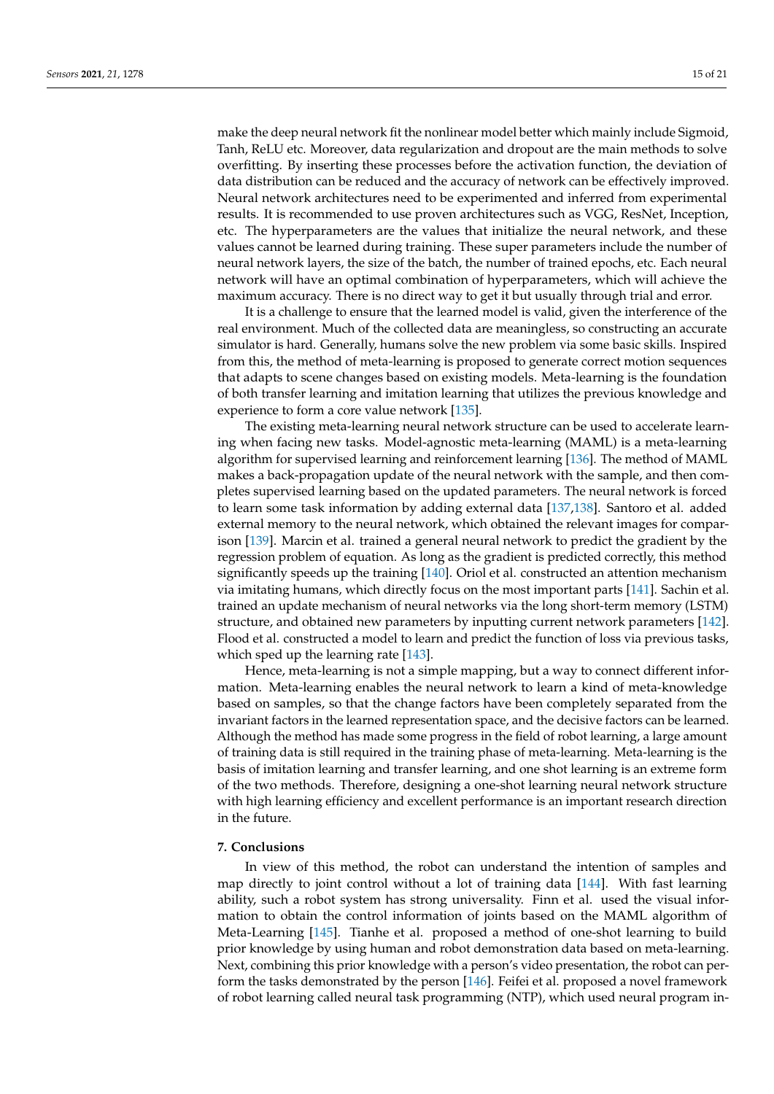make the deep neural network fit the nonlinear model better which mainly include Sigmoid, Tanh, ReLU etc. Moreover, data regularization and dropout are the main methods to solve overfitting. By inserting these processes before the activation function, the deviation of data distribution can be reduced and the accuracy of network can be effectively improved. Neural network architectures need to be experimented and inferred from experimental results. It is recommended to use proven architectures such as VGG, ResNet, Inception, etc. The hyperparameters are the values that initialize the neural network, and these values cannot be learned during training. These super parameters include the number of neural network layers, the size of the batch, the number of trained epochs, etc. Each neural network will have an optimal combination of hyperparameters, which will achieve the maximum accuracy. There is no direct way to get it but usually through trial and error.

It is a challenge to ensure that the learned model is valid, given the interference of the real environment. Much of the collected data are meaningless, so constructing an accurate simulator is hard. Generally, humans solve the new problem via some basic skills. Inspired from this, the method of meta-learning is proposed to generate correct motion sequences that adapts to scene changes based on existing models. Meta-learning is the foundation of both transfer learning and imitation learning that utilizes the previous knowledge and experience to form a core value network [\[135\]](#page-20-3).

The existing meta-learning neural network structure can be used to accelerate learning when facing new tasks. Model-agnostic meta-learning (MAML) is a meta-learning algorithm for supervised learning and reinforcement learning [\[136\]](#page-20-4). The method of MAML makes a back-propagation update of the neural network with the sample, and then completes supervised learning based on the updated parameters. The neural network is forced to learn some task information by adding external data [\[137](#page-20-5)[,138\]](#page-20-6). Santoro et al. added external memory to the neural network, which obtained the relevant images for comparison [\[139\]](#page-20-7). Marcin et al. trained a general neural network to predict the gradient by the regression problem of equation. As long as the gradient is predicted correctly, this method significantly speeds up the training [\[140\]](#page-20-8). Oriol et al. constructed an attention mechanism via imitating humans, which directly focus on the most important parts [\[141\]](#page-20-9). Sachin et al. trained an update mechanism of neural networks via the long short-term memory (LSTM) structure, and obtained new parameters by inputting current network parameters [\[142\]](#page-20-10). Flood et al. constructed a model to learn and predict the function of loss via previous tasks, which sped up the learning rate [\[143\]](#page-20-11).

Hence, meta-learning is not a simple mapping, but a way to connect different information. Meta-learning enables the neural network to learn a kind of meta-knowledge based on samples, so that the change factors have been completely separated from the invariant factors in the learned representation space, and the decisive factors can be learned. Although the method has made some progress in the field of robot learning, a large amount of training data is still required in the training phase of meta-learning. Meta-learning is the basis of imitation learning and transfer learning, and one shot learning is an extreme form of the two methods. Therefore, designing a one-shot learning neural network structure with high learning efficiency and excellent performance is an important research direction in the future.

### **7. Conclusions**

In view of this method, the robot can understand the intention of samples and map directly to joint control without a lot of training data [\[144\]](#page-20-12). With fast learning ability, such a robot system has strong universality. Finn et al. used the visual information to obtain the control information of joints based on the MAML algorithm of Meta-Learning [\[145\]](#page-20-13). Tianhe et al. proposed a method of one-shot learning to build prior knowledge by using human and robot demonstration data based on meta-learning. Next, combining this prior knowledge with a person's video presentation, the robot can perform the tasks demonstrated by the person [\[146\]](#page-20-14). Feifei et al. proposed a novel framework of robot learning called neural task programming (NTP), which used neural program in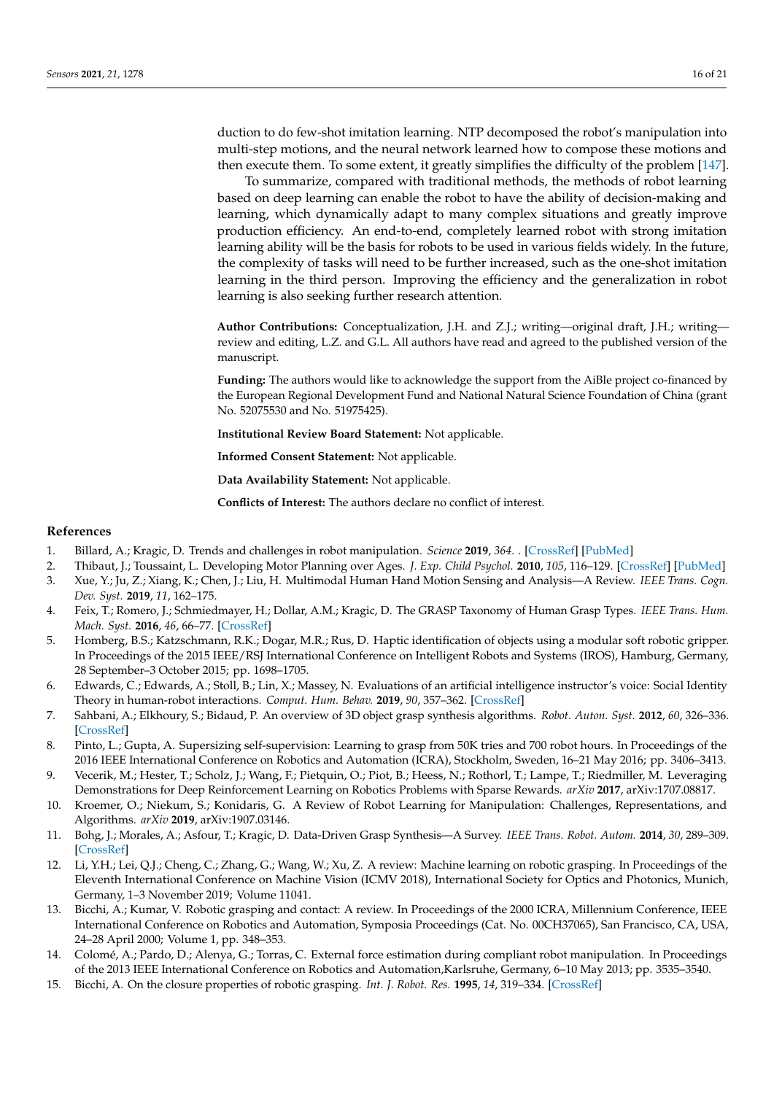duction to do few-shot imitation learning. NTP decomposed the robot's manipulation into multi-step motions, and the neural network learned how to compose these motions and then execute them. To some extent, it greatly simplifies the difficulty of the problem [\[147\]](#page-20-15).

To summarize, compared with traditional methods, the methods of robot learning based on deep learning can enable the robot to have the ability of decision-making and learning, which dynamically adapt to many complex situations and greatly improve production efficiency. An end-to-end, completely learned robot with strong imitation learning ability will be the basis for robots to be used in various fields widely. In the future, the complexity of tasks will need to be further increased, such as the one-shot imitation learning in the third person. Improving the efficiency and the generalization in robot learning is also seeking further research attention.

**Author Contributions:** Conceptualization, J.H. and Z.J.; writing—original draft, J.H.; writing review and editing, L.Z. and G.L. All authors have read and agreed to the published version of the manuscript.

**Funding:** The authors would like to acknowledge the support from the AiBle project co-financed by the European Regional Development Fund and National Natural Science Foundation of China (grant No. 52075530 and No. 51975425).

**Institutional Review Board Statement:** Not applicable.

**Informed Consent Statement:** Not applicable.

**Data Availability Statement:** Not applicable.

**Conflicts of Interest:** The authors declare no conflict of interest.

### **References**

- <span id="page-15-0"></span>1. Billard, A.; Kragic, D. Trends and challenges in robot manipulation. *Science* **2019**, *364*. . [\[CrossRef\]](http://doi.org/10.1126/science.aat8414) [\[PubMed\]](http://www.ncbi.nlm.nih.gov/pubmed/31221831)
- <span id="page-15-1"></span>2. Thibaut, J.; Toussaint, L. Developing Motor Planning over Ages. *J. Exp. Child Psychol.* **2010**, *105*, 116–129. [\[CrossRef\]](http://dx.doi.org/10.1016/j.jecp.2009.10.003) [\[PubMed\]](http://www.ncbi.nlm.nih.gov/pubmed/19919864)
- <span id="page-15-2"></span>3. Xue, Y.; Ju, Z.; Xiang, K.; Chen, J.; Liu, H. Multimodal Human Hand Motion Sensing and Analysis—A Review. *IEEE Trans. Cogn. Dev. Syst.* **2019**, *11*, 162–175.
- <span id="page-15-3"></span>4. Feix, T.; Romero, J.; Schmiedmayer, H.; Dollar, A.M.; Kragic, D. The GRASP Taxonomy of Human Grasp Types. *IEEE Trans. Hum. Mach. Syst.* **2016**, *46*, 66–77. [\[CrossRef\]](http://dx.doi.org/10.1109/THMS.2015.2470657)
- <span id="page-15-4"></span>5. Homberg, B.S.; Katzschmann, R.K.; Dogar, M.R.; Rus, D. Haptic identification of objects using a modular soft robotic gripper. In Proceedings of the 2015 IEEE/RSJ International Conference on Intelligent Robots and Systems (IROS), Hamburg, Germany, 28 September–3 October 2015; pp. 1698–1705.
- <span id="page-15-5"></span>6. Edwards, C.; Edwards, A.; Stoll, B.; Lin, X.; Massey, N. Evaluations of an artificial intelligence instructor's voice: Social Identity Theory in human-robot interactions. *Comput. Hum. Behav.* **2019**, *90*, 357–362. [\[CrossRef\]](http://dx.doi.org/10.1016/j.chb.2018.08.027)
- <span id="page-15-6"></span>7. Sahbani, A.; Elkhoury, S.; Bidaud, P. An overview of 3D object grasp synthesis algorithms. *Robot. Auton. Syst.* **2012**, *60*, 326–336. [\[CrossRef\]](http://dx.doi.org/10.1016/j.robot.2011.07.016)
- <span id="page-15-7"></span>8. Pinto, L.; Gupta, A. Supersizing self-supervision: Learning to grasp from 50K tries and 700 robot hours. In Proceedings of the 2016 IEEE International Conference on Robotics and Automation (ICRA), Stockholm, Sweden, 16–21 May 2016; pp. 3406–3413.
- <span id="page-15-8"></span>9. Vecerik, M.; Hester, T.; Scholz, J.; Wang, F.; Pietquin, O.; Piot, B.; Heess, N.; Rothorl, T.; Lampe, T.; Riedmiller, M. Leveraging Demonstrations for Deep Reinforcement Learning on Robotics Problems with Sparse Rewards. *arXiv* **2017**, arXiv:1707.08817.
- <span id="page-15-9"></span>10. Kroemer, O.; Niekum, S.; Konidaris, G. A Review of Robot Learning for Manipulation: Challenges, Representations, and Algorithms. *arXiv* **2019**, arXiv:1907.03146.
- <span id="page-15-10"></span>11. Bohg, J.; Morales, A.; Asfour, T.; Kragic, D. Data-Driven Grasp Synthesis—A Survey. *IEEE Trans. Robot. Autom.* **2014**, *30*, 289–309. [\[CrossRef\]](http://dx.doi.org/10.1109/TRO.2013.2289018)
- <span id="page-15-11"></span>12. Li, Y.H.; Lei, Q.J.; Cheng, C.; Zhang, G.; Wang, W.; Xu, Z. A review: Machine learning on robotic grasping. In Proceedings of the Eleventh International Conference on Machine Vision (ICMV 2018), International Society for Optics and Photonics, Munich, Germany, 1–3 November 2019; Volume 11041.
- <span id="page-15-12"></span>13. Bicchi, A.; Kumar, V. Robotic grasping and contact: A review. In Proceedings of the 2000 ICRA, Millennium Conference, IEEE International Conference on Robotics and Automation, Symposia Proceedings (Cat. No. 00CH37065), San Francisco, CA, USA, 24–28 April 2000; Volume 1, pp. 348–353.
- <span id="page-15-13"></span>14. Colomé, A.; Pardo, D.; Alenya, G.; Torras, C. External force estimation during compliant robot manipulation. In Proceedings of the 2013 IEEE International Conference on Robotics and Automation,Karlsruhe, Germany, 6–10 May 2013; pp. 3535–3540.
- <span id="page-15-14"></span>15. Bicchi, A. On the closure properties of robotic grasping. *Int. J. Robot. Res.* **1995**, *14*, 319–334. [\[CrossRef\]](http://dx.doi.org/10.1177/027836499501400402)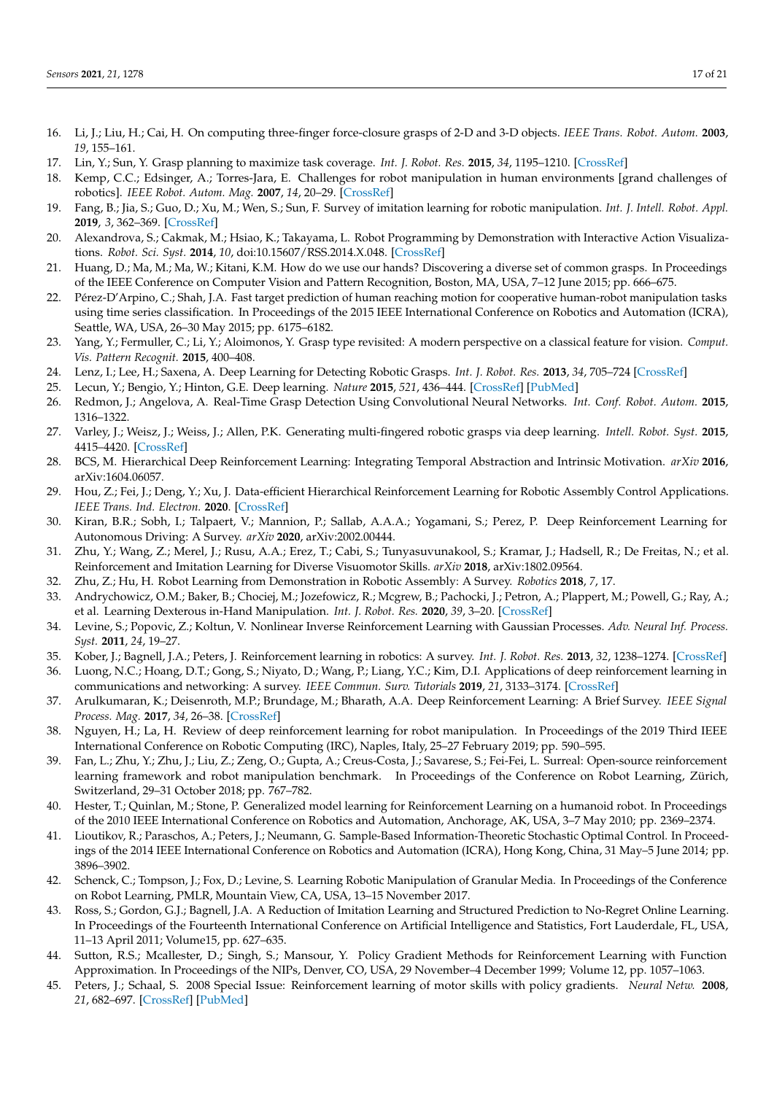- <span id="page-16-0"></span>16. Li, J.; Liu, H.; Cai, H. On computing three-finger force-closure grasps of 2-D and 3-D objects. *IEEE Trans. Robot. Autom.* **2003**, *19*, 155–161.
- <span id="page-16-1"></span>17. Lin, Y.; Sun, Y. Grasp planning to maximize task coverage. *Int. J. Robot. Res.* **2015**, *34*, 1195–1210. [\[CrossRef\]](http://dx.doi.org/10.1177/0278364915583880)
- <span id="page-16-2"></span>18. Kemp, C.C.; Edsinger, A.; Torres-Jara, E. Challenges for robot manipulation in human environments [grand challenges of robotics]. *IEEE Robot. Autom. Mag.* **2007**, *14*, 20–29. [\[CrossRef\]](http://dx.doi.org/10.1109/MRA.2007.339604)
- <span id="page-16-3"></span>19. Fang, B.; Jia, S.; Guo, D.; Xu, M.; Wen, S.; Sun, F. Survey of imitation learning for robotic manipulation. *Int. J. Intell. Robot. Appl.* **2019**, *3*, 362–369. [\[CrossRef\]](http://dx.doi.org/10.1007/s41315-019-00103-5)
- <span id="page-16-4"></span>20. Alexandrova, S.; Cakmak, M.; Hsiao, K.; Takayama, L. Robot Programming by Demonstration with Interactive Action Visualizations. *Robot. Sci. Syst.* **2014**, *10*, doi:10.15607/RSS.2014.X.048. [\[CrossRef\]](http://dx.doi.org/10.15607/RSS.2014.X.048)
- <span id="page-16-5"></span>21. Huang, D.; Ma, M.; Ma, W.; Kitani, K.M. How do we use our hands? Discovering a diverse set of common grasps. In Proceedings of the IEEE Conference on Computer Vision and Pattern Recognition, Boston, MA, USA, 7–12 June 2015; pp. 666–675.
- <span id="page-16-6"></span>22. Pérez-D'Arpino, C.; Shah, J.A. Fast target prediction of human reaching motion for cooperative human-robot manipulation tasks using time series classification. In Proceedings of the 2015 IEEE International Conference on Robotics and Automation (ICRA), Seattle, WA, USA, 26–30 May 2015; pp. 6175–6182.
- <span id="page-16-7"></span>23. Yang, Y.; Fermuller, C.; Li, Y.; Aloimonos, Y. Grasp type revisited: A modern perspective on a classical feature for vision. *Comput. Vis. Pattern Recognit.* **2015**, 400–408.
- <span id="page-16-8"></span>24. Lenz, I.; Lee, H.; Saxena, A. Deep Learning for Detecting Robotic Grasps. *Int. J. Robot. Res.* **2013**, *34*, 705–724 [\[CrossRef\]](http://dx.doi.org/10.1177/0278364914549607)
- <span id="page-16-9"></span>25. Lecun, Y.; Bengio, Y.; Hinton, G.E. Deep learning. *Nature* **2015**, *521*, 436–444. [\[CrossRef\]](http://dx.doi.org/10.1038/nature14539) [\[PubMed\]](http://www.ncbi.nlm.nih.gov/pubmed/26017442)
- <span id="page-16-10"></span>26. Redmon, J.; Angelova, A. Real-Time Grasp Detection Using Convolutional Neural Networks. *Int. Conf. Robot. Autom.* **2015**, 1316–1322.
- <span id="page-16-11"></span>27. Varley, J.; Weisz, J.; Weiss, J.; Allen, P.K. Generating multi-fingered robotic grasps via deep learning. *Intell. Robot. Syst.* **2015**, 4415–4420. [\[CrossRef\]](http://dx.doi.org/10.1109/IROS.2015.7354004)
- <span id="page-16-12"></span>28. BCS, M. Hierarchical Deep Reinforcement Learning: Integrating Temporal Abstraction and Intrinsic Motivation. *arXiv* **2016**, arXiv:1604.06057.
- <span id="page-16-13"></span>29. Hou, Z.; Fei, J.; Deng, Y.; Xu, J. Data-efficient Hierarchical Reinforcement Learning for Robotic Assembly Control Applications. *IEEE Trans. Ind. Electron.* **2020**. [\[CrossRef\]](http://dx.doi.org/10.1109/TIE.2020.3038072)
- <span id="page-16-14"></span>30. Kiran, B.R.; Sobh, I.; Talpaert, V.; Mannion, P.; Sallab, A.A.A.; Yogamani, S.; Perez, P. Deep Reinforcement Learning for Autonomous Driving: A Survey. *arXiv* **2020**, arXiv:2002.00444.
- <span id="page-16-15"></span>31. Zhu, Y.; Wang, Z.; Merel, J.; Rusu, A.A.; Erez, T.; Cabi, S.; Tunyasuvunakool, S.; Kramar, J.; Hadsell, R.; De Freitas, N.; et al. Reinforcement and Imitation Learning for Diverse Visuomotor Skills. *arXiv* **2018**, arXiv:1802.09564.
- <span id="page-16-16"></span>32. Zhu, Z.; Hu, H. Robot Learning from Demonstration in Robotic Assembly: A Survey. *Robotics* **2018**, *7*, 17.
- <span id="page-16-17"></span>33. Andrychowicz, O.M.; Baker, B.; Chociej, M.; Jozefowicz, R.; Mcgrew, B.; Pachocki, J.; Petron, A.; Plappert, M.; Powell, G.; Ray, A.; et al. Learning Dexterous in-Hand Manipulation. *Int. J. Robot. Res.* **2020**, *39*, 3–20. [\[CrossRef\]](http://dx.doi.org/10.1177/0278364919887447)
- <span id="page-16-18"></span>34. Levine, S.; Popovic, Z.; Koltun, V. Nonlinear Inverse Reinforcement Learning with Gaussian Processes. *Adv. Neural Inf. Process. Syst.* **2011**, *24*, 19–27.
- <span id="page-16-19"></span>35. Kober, J.; Bagnell, J.A.; Peters, J. Reinforcement learning in robotics: A survey. *Int. J. Robot. Res.* **2013**, *32*, 1238–1274. [\[CrossRef\]](http://dx.doi.org/10.1177/0278364913495721)
- <span id="page-16-20"></span>36. Luong, N.C.; Hoang, D.T.; Gong, S.; Niyato, D.; Wang, P.; Liang, Y.C.; Kim, D.I. Applications of deep reinforcement learning in communications and networking: A survey. *IEEE Commun. Surv. Tutorials* **2019**, *21*, 3133–3174. [\[CrossRef\]](http://dx.doi.org/10.1109/COMST.2019.2916583)
- <span id="page-16-21"></span>37. Arulkumaran, K.; Deisenroth, M.P.; Brundage, M.; Bharath, A.A. Deep Reinforcement Learning: A Brief Survey. *IEEE Signal Process. Mag.* **2017**, *34*, 26–38. [\[CrossRef\]](http://dx.doi.org/10.1109/MSP.2017.2743240)
- <span id="page-16-22"></span>38. Nguyen, H.; La, H. Review of deep reinforcement learning for robot manipulation. In Proceedings of the 2019 Third IEEE International Conference on Robotic Computing (IRC), Naples, Italy, 25–27 February 2019; pp. 590–595.
- <span id="page-16-23"></span>39. Fan, L.; Zhu, Y.; Zhu, J.; Liu, Z.; Zeng, O.; Gupta, A.; Creus-Costa, J.; Savarese, S.; Fei-Fei, L. Surreal: Open-source reinforcement learning framework and robot manipulation benchmark. In Proceedings of the Conference on Robot Learning, Zürich, Switzerland, 29–31 October 2018; pp. 767–782.
- <span id="page-16-24"></span>40. Hester, T.; Quinlan, M.; Stone, P. Generalized model learning for Reinforcement Learning on a humanoid robot. In Proceedings of the 2010 IEEE International Conference on Robotics and Automation, Anchorage, AK, USA, 3–7 May 2010; pp. 2369–2374.
- <span id="page-16-25"></span>41. Lioutikov, R.; Paraschos, A.; Peters, J.; Neumann, G. Sample-Based Information-Theoretic Stochastic Optimal Control. In Proceedings of the 2014 IEEE International Conference on Robotics and Automation (ICRA), Hong Kong, China, 31 May–5 June 2014; pp. 3896–3902.
- <span id="page-16-26"></span>42. Schenck, C.; Tompson, J.; Fox, D.; Levine, S. Learning Robotic Manipulation of Granular Media. In Proceedings of the Conference on Robot Learning, PMLR, Mountain View, CA, USA, 13–15 November 2017.
- <span id="page-16-27"></span>43. Ross, S.; Gordon, G.J.; Bagnell, J.A. A Reduction of Imitation Learning and Structured Prediction to No-Regret Online Learning. In Proceedings of the Fourteenth International Conference on Artificial Intelligence and Statistics, Fort Lauderdale, FL, USA, 11–13 April 2011; Volume15, pp. 627–635.
- <span id="page-16-28"></span>44. Sutton, R.S.; Mcallester, D.; Singh, S.; Mansour, Y. Policy Gradient Methods for Reinforcement Learning with Function Approximation. In Proceedings of the NIPs, Denver, CO, USA, 29 November–4 December 1999; Volume 12, pp. 1057–1063.
- <span id="page-16-29"></span>45. Peters, J.; Schaal, S. 2008 Special Issue: Reinforcement learning of motor skills with policy gradients. *Neural Netw.* **2008**, *21*, 682–697. [\[CrossRef\]](http://dx.doi.org/10.1016/j.neunet.2008.02.003) [\[PubMed\]](http://www.ncbi.nlm.nih.gov/pubmed/18482830)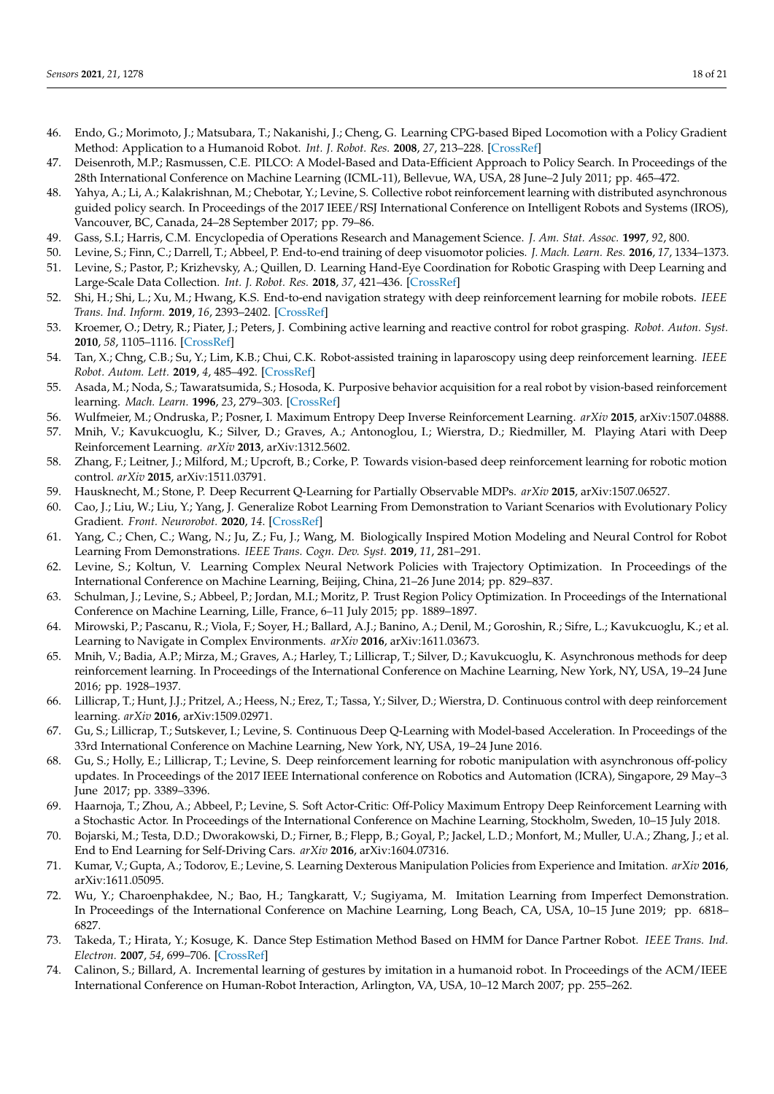- <span id="page-17-0"></span>46. Endo, G.; Morimoto, J.; Matsubara, T.; Nakanishi, J.; Cheng, G. Learning CPG-based Biped Locomotion with a Policy Gradient Method: Application to a Humanoid Robot. *Int. J. Robot. Res.* **2008**, *27*, 213–228. [\[CrossRef\]](http://dx.doi.org/10.1177/0278364907084980)
- <span id="page-17-1"></span>47. Deisenroth, M.P.; Rasmussen, C.E. PILCO: A Model-Based and Data-Efficient Approach to Policy Search. In Proceedings of the 28th International Conference on Machine Learning (ICML-11), Bellevue, WA, USA, 28 June–2 July 2011; pp. 465–472.
- <span id="page-17-2"></span>48. Yahya, A.; Li, A.; Kalakrishnan, M.; Chebotar, Y.; Levine, S. Collective robot reinforcement learning with distributed asynchronous guided policy search. In Proceedings of the 2017 IEEE/RSJ International Conference on Intelligent Robots and Systems (IROS), Vancouver, BC, Canada, 24–28 September 2017; pp. 79–86.
- <span id="page-17-3"></span>49. Gass, S.I.; Harris, C.M. Encyclopedia of Operations Research and Management Science. *J. Am. Stat. Assoc.* **1997**, *92*, 800.
- <span id="page-17-4"></span>50. Levine, S.; Finn, C.; Darrell, T.; Abbeel, P. End-to-end training of deep visuomotor policies. *J. Mach. Learn. Res.* **2016**, *17*, 1334–1373.
- <span id="page-17-5"></span>51. Levine, S.; Pastor, P.; Krizhevsky, A.; Quillen, D. Learning Hand-Eye Coordination for Robotic Grasping with Deep Learning and Large-Scale Data Collection. *Int. J. Robot. Res.* **2018**, *37*, 421–436. [\[CrossRef\]](http://dx.doi.org/10.1177/0278364917710318)
- <span id="page-17-6"></span>52. Shi, H.; Shi, L.; Xu, M.; Hwang, K.S. End-to-end navigation strategy with deep reinforcement learning for mobile robots. *IEEE Trans. Ind. Inform.* **2019**, *16*, 2393–2402. [\[CrossRef\]](http://dx.doi.org/10.1109/TII.2019.2936167)
- <span id="page-17-7"></span>53. Kroemer, O.; Detry, R.; Piater, J.; Peters, J. Combining active learning and reactive control for robot grasping. *Robot. Auton. Syst.* **2010**, *58*, 1105–1116. [\[CrossRef\]](http://dx.doi.org/10.1016/j.robot.2010.06.001)
- <span id="page-17-8"></span>54. Tan, X.; Chng, C.B.; Su, Y.; Lim, K.B.; Chui, C.K. Robot-assisted training in laparoscopy using deep reinforcement learning. *IEEE Robot. Autom. Lett.* **2019**, *4*, 485–492. [\[CrossRef\]](http://dx.doi.org/10.1109/LRA.2019.2891311)
- <span id="page-17-9"></span>55. Asada, M.; Noda, S.; Tawaratsumida, S.; Hosoda, K. Purposive behavior acquisition for a real robot by vision-based reinforcement learning. *Mach. Learn.* **1996**, *23*, 279–303. [\[CrossRef\]](http://dx.doi.org/10.1007/BF00117447)
- <span id="page-17-10"></span>56. Wulfmeier, M.; Ondruska, P.; Posner, I. Maximum Entropy Deep Inverse Reinforcement Learning. *arXiv* **2015**, arXiv:1507.04888.
- <span id="page-17-11"></span>57. Mnih, V.; Kavukcuoglu, K.; Silver, D.; Graves, A.; Antonoglou, I.; Wierstra, D.; Riedmiller, M. Playing Atari with Deep Reinforcement Learning. *arXiv* **2013**, arXiv:1312.5602.
- <span id="page-17-12"></span>58. Zhang, F.; Leitner, J.; Milford, M.; Upcroft, B.; Corke, P. Towards vision-based deep reinforcement learning for robotic motion control. *arXiv* **2015**, arXiv:1511.03791.
- <span id="page-17-13"></span>59. Hausknecht, M.; Stone, P. Deep Recurrent Q-Learning for Partially Observable MDPs. *arXiv* **2015**, arXiv:1507.06527.
- <span id="page-17-14"></span>60. Cao, J.; Liu, W.; Liu, Y.; Yang, J. Generalize Robot Learning From Demonstration to Variant Scenarios with Evolutionary Policy Gradient. *Front. Neurorobot.* **2020**, *14*. [\[CrossRef\]](http://dx.doi.org/10.3389/fnbot.2020.00021)
- <span id="page-17-15"></span>61. Yang, C.; Chen, C.; Wang, N.; Ju, Z.; Fu, J.; Wang, M. Biologically Inspired Motion Modeling and Neural Control for Robot Learning From Demonstrations. *IEEE Trans. Cogn. Dev. Syst.* **2019**, *11*, 281–291.
- <span id="page-17-16"></span>62. Levine, S.; Koltun, V. Learning Complex Neural Network Policies with Trajectory Optimization. In Proceedings of the International Conference on Machine Learning, Beijing, China, 21–26 June 2014; pp. 829–837.
- <span id="page-17-17"></span>63. Schulman, J.; Levine, S.; Abbeel, P.; Jordan, M.I.; Moritz, P. Trust Region Policy Optimization. In Proceedings of the International Conference on Machine Learning, Lille, France, 6–11 July 2015; pp. 1889–1897.
- <span id="page-17-18"></span>64. Mirowski, P.; Pascanu, R.; Viola, F.; Soyer, H.; Ballard, A.J.; Banino, A.; Denil, M.; Goroshin, R.; Sifre, L.; Kavukcuoglu, K.; et al. Learning to Navigate in Complex Environments. *arXiv* **2016**, arXiv:1611.03673.
- <span id="page-17-19"></span>65. Mnih, V.; Badia, A.P.; Mirza, M.; Graves, A.; Harley, T.; Lillicrap, T.; Silver, D.; Kavukcuoglu, K. Asynchronous methods for deep reinforcement learning. In Proceedings of the International Conference on Machine Learning, New York, NY, USA, 19–24 June 2016; pp. 1928–1937.
- <span id="page-17-20"></span>66. Lillicrap, T.; Hunt, J.J.; Pritzel, A.; Heess, N.; Erez, T.; Tassa, Y.; Silver, D.; Wierstra, D. Continuous control with deep reinforcement learning. *arXiv* **2016**, arXiv:1509.02971.
- <span id="page-17-21"></span>67. Gu, S.; Lillicrap, T.; Sutskever, I.; Levine, S. Continuous Deep Q-Learning with Model-based Acceleration. In Proceedings of the 33rd International Conference on Machine Learning, New York, NY, USA, 19–24 June 2016.
- <span id="page-17-22"></span>68. Gu, S.; Holly, E.; Lillicrap, T.; Levine, S. Deep reinforcement learning for robotic manipulation with asynchronous off-policy updates. In Proceedings of the 2017 IEEE International conference on Robotics and Automation (ICRA), Singapore, 29 May–3 June 2017; pp. 3389–3396.
- <span id="page-17-23"></span>69. Haarnoja, T.; Zhou, A.; Abbeel, P.; Levine, S. Soft Actor-Critic: Off-Policy Maximum Entropy Deep Reinforcement Learning with a Stochastic Actor. In Proceedings of the International Conference on Machine Learning, Stockholm, Sweden, 10–15 July 2018.
- <span id="page-17-24"></span>70. Bojarski, M.; Testa, D.D.; Dworakowski, D.; Firner, B.; Flepp, B.; Goyal, P.; Jackel, L.D.; Monfort, M.; Muller, U.A.; Zhang, J.; et al. End to End Learning for Self-Driving Cars. *arXiv* **2016**, arXiv:1604.07316.
- <span id="page-17-25"></span>71. Kumar, V.; Gupta, A.; Todorov, E.; Levine, S. Learning Dexterous Manipulation Policies from Experience and Imitation. *arXiv* **2016**, arXiv:1611.05095.
- <span id="page-17-26"></span>72. Wu, Y.; Charoenphakdee, N.; Bao, H.; Tangkaratt, V.; Sugiyama, M. Imitation Learning from Imperfect Demonstration. In Proceedings of the International Conference on Machine Learning, Long Beach, CA, USA, 10–15 June 2019; pp. 6818– 6827.
- <span id="page-17-27"></span>73. Takeda, T.; Hirata, Y.; Kosuge, K. Dance Step Estimation Method Based on HMM for Dance Partner Robot. *IEEE Trans. Ind. Electron.* **2007**, *54*, 699–706. [\[CrossRef\]](http://dx.doi.org/10.1109/TIE.2007.891642)
- <span id="page-17-28"></span>74. Calinon, S.; Billard, A. Incremental learning of gestures by imitation in a humanoid robot. In Proceedings of the ACM/IEEE International Conference on Human-Robot Interaction, Arlington, VA, USA, 10–12 March 2007; pp. 255–262.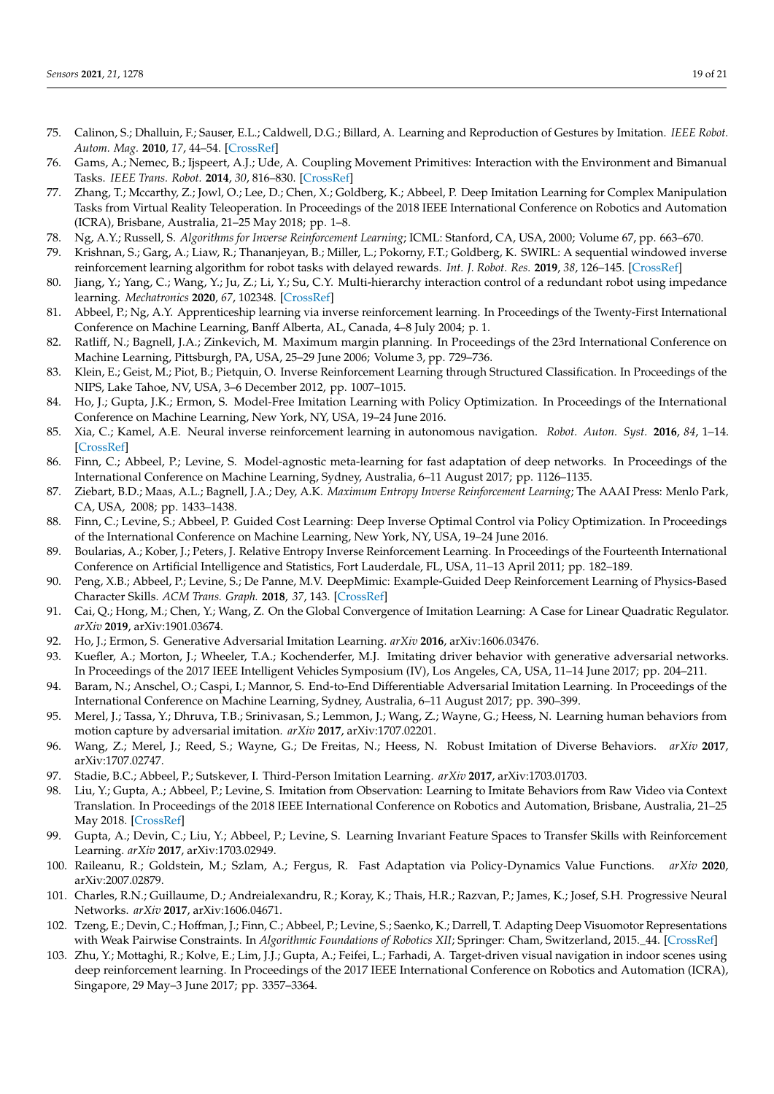- <span id="page-18-0"></span>75. Calinon, S.; Dhalluin, F.; Sauser, E.L.; Caldwell, D.G.; Billard, A. Learning and Reproduction of Gestures by Imitation. *IEEE Robot. Autom. Mag.* **2010**, *17*, 44–54. [\[CrossRef\]](http://dx.doi.org/10.1109/MRA.2010.936947)
- <span id="page-18-1"></span>76. Gams, A.; Nemec, B.; Ijspeert, A.J.; Ude, A. Coupling Movement Primitives: Interaction with the Environment and Bimanual Tasks. *IEEE Trans. Robot.* **2014**, *30*, 816–830. [\[CrossRef\]](http://dx.doi.org/10.1109/TRO.2014.2304775)
- <span id="page-18-2"></span>77. Zhang, T.; Mccarthy, Z.; Jowl, O.; Lee, D.; Chen, X.; Goldberg, K.; Abbeel, P. Deep Imitation Learning for Complex Manipulation Tasks from Virtual Reality Teleoperation. In Proceedings of the 2018 IEEE International Conference on Robotics and Automation (ICRA), Brisbane, Australia, 21–25 May 2018; pp. 1–8.
- <span id="page-18-3"></span>78. Ng, A.Y.; Russell, S. *Algorithms for Inverse Reinforcement Learning*; ICML: Stanford, CA, USA, 2000; Volume 67, pp. 663–670.
- <span id="page-18-4"></span>79. Krishnan, S.; Garg, A.; Liaw, R.; Thananjeyan, B.; Miller, L.; Pokorny, F.T.; Goldberg, K. SWIRL: A sequential windowed inverse reinforcement learning algorithm for robot tasks with delayed rewards. *Int. J. Robot. Res.* **2019**, *38*, 126–145. [\[CrossRef\]](http://dx.doi.org/10.1177/0278364918784350)
- <span id="page-18-5"></span>80. Jiang, Y.; Yang, C.; Wang, Y.; Ju, Z.; Li, Y.; Su, C.Y. Multi-hierarchy interaction control of a redundant robot using impedance learning. *Mechatronics* **2020**, *67*, 102348. [\[CrossRef\]](http://dx.doi.org/10.1016/j.mechatronics.2020.102348)
- <span id="page-18-6"></span>81. Abbeel, P.; Ng, A.Y. Apprenticeship learning via inverse reinforcement learning. In Proceedings of the Twenty-First International Conference on Machine Learning, Banff Alberta, AL, Canada, 4–8 July 2004; p. 1.
- <span id="page-18-7"></span>82. Ratliff, N.; Bagnell, J.A.; Zinkevich, M. Maximum margin planning. In Proceedings of the 23rd International Conference on Machine Learning, Pittsburgh, PA, USA, 25–29 June 2006; Volume 3, pp. 729–736.
- <span id="page-18-8"></span>83. Klein, E.; Geist, M.; Piot, B.; Pietquin, O. Inverse Reinforcement Learning through Structured Classification. In Proceedings of the NIPS, Lake Tahoe, NV, USA, 3–6 December 2012, pp. 1007–1015.
- <span id="page-18-9"></span>84. Ho, J.; Gupta, J.K.; Ermon, S. Model-Free Imitation Learning with Policy Optimization. In Proceedings of the International Conference on Machine Learning, New York, NY, USA, 19–24 June 2016.
- <span id="page-18-10"></span>85. Xia, C.; Kamel, A.E. Neural inverse reinforcement learning in autonomous navigation. *Robot. Auton. Syst.* **2016**, *84*, 1–14. [\[CrossRef\]](http://dx.doi.org/10.1016/j.robot.2016.06.003)
- <span id="page-18-11"></span>86. Finn, C.; Abbeel, P.; Levine, S. Model-agnostic meta-learning for fast adaptation of deep networks. In Proceedings of the International Conference on Machine Learning, Sydney, Australia, 6–11 August 2017; pp. 1126–1135.
- <span id="page-18-12"></span>87. Ziebart, B.D.; Maas, A.L.; Bagnell, J.A.; Dey, A.K. *Maximum Entropy Inverse Reinforcement Learning*; The AAAI Press: Menlo Park, CA, USA, 2008; pp. 1433–1438.
- <span id="page-18-13"></span>88. Finn, C.; Levine, S.; Abbeel, P. Guided Cost Learning: Deep Inverse Optimal Control via Policy Optimization. In Proceedings of the International Conference on Machine Learning, New York, NY, USA, 19–24 June 2016.
- <span id="page-18-14"></span>89. Boularias, A.; Kober, J.; Peters, J. Relative Entropy Inverse Reinforcement Learning. In Proceedings of the Fourteenth International Conference on Artificial Intelligence and Statistics, Fort Lauderdale, FL, USA, 11–13 April 2011; pp. 182–189.
- <span id="page-18-15"></span>90. Peng, X.B.; Abbeel, P.; Levine, S.; De Panne, M.V. DeepMimic: Example-Guided Deep Reinforcement Learning of Physics-Based Character Skills. *ACM Trans. Graph.* **2018**, *37*, 143. [\[CrossRef\]](http://dx.doi.org/10.1145/3197517.3201311)
- <span id="page-18-16"></span>91. Cai, Q.; Hong, M.; Chen, Y.; Wang, Z. On the Global Convergence of Imitation Learning: A Case for Linear Quadratic Regulator. *arXiv* **2019**, arXiv:1901.03674.
- <span id="page-18-17"></span>92. Ho, J.; Ermon, S. Generative Adversarial Imitation Learning. *arXiv* **2016**, arXiv:1606.03476.
- <span id="page-18-18"></span>93. Kuefler, A.; Morton, J.; Wheeler, T.A.; Kochenderfer, M.J. Imitating driver behavior with generative adversarial networks. In Proceedings of the 2017 IEEE Intelligent Vehicles Symposium (IV), Los Angeles, CA, USA, 11–14 June 2017; pp. 204–211.
- <span id="page-18-19"></span>94. Baram, N.; Anschel, O.; Caspi, I.; Mannor, S. End-to-End Differentiable Adversarial Imitation Learning. In Proceedings of the International Conference on Machine Learning, Sydney, Australia, 6–11 August 2017; pp. 390–399.
- <span id="page-18-20"></span>95. Merel, J.; Tassa, Y.; Dhruva, T.B.; Srinivasan, S.; Lemmon, J.; Wang, Z.; Wayne, G.; Heess, N. Learning human behaviors from motion capture by adversarial imitation. *arXiv* **2017**, arXiv:1707.02201.
- <span id="page-18-21"></span>96. Wang, Z.; Merel, J.; Reed, S.; Wayne, G.; De Freitas, N.; Heess, N. Robust Imitation of Diverse Behaviors. *arXiv* **2017**, arXiv:1707.02747.
- <span id="page-18-22"></span>97. Stadie, B.C.; Abbeel, P.; Sutskever, I. Third-Person Imitation Learning. *arXiv* **2017**, arXiv:1703.01703.
- <span id="page-18-23"></span>98. Liu, Y.; Gupta, A.; Abbeel, P.; Levine, S. Imitation from Observation: Learning to Imitate Behaviors from Raw Video via Context Translation. In Proceedings of the 2018 IEEE International Conference on Robotics and Automation, Brisbane, Australia, 21–25 May 2018. [\[CrossRef\]](http://dx.doi.org/10.1109/ICRA.2018.8462901)
- <span id="page-18-24"></span>99. Gupta, A.; Devin, C.; Liu, Y.; Abbeel, P.; Levine, S. Learning Invariant Feature Spaces to Transfer Skills with Reinforcement Learning. *arXiv* **2017**, arXiv:1703.02949.
- <span id="page-18-25"></span>100. Raileanu, R.; Goldstein, M.; Szlam, A.; Fergus, R. Fast Adaptation via Policy-Dynamics Value Functions. *arXiv* **2020**, arXiv:2007.02879.
- <span id="page-18-26"></span>101. Charles, R.N.; Guillaume, D.; Andreialexandru, R.; Koray, K.; Thais, H.R.; Razvan, P.; James, K.; Josef, S.H. Progressive Neural Networks. *arXiv* **2017**, arXiv:1606.04671.
- <span id="page-18-27"></span>102. Tzeng, E.; Devin, C.; Hoffman, J.; Finn, C.; Abbeel, P.; Levine, S.; Saenko, K.; Darrell, T. Adapting Deep Visuomotor Representations with Weak Pairwise Constraints. In *Algorithmic Foundations of Robotics XII*; Springer: Cham, Switzerland, 2015.\_44. [\[CrossRef\]](http://dx.doi.org/10.1007/978-3-030-43089-4_44)
- <span id="page-18-28"></span>103. Zhu, Y.; Mottaghi, R.; Kolve, E.; Lim, J.J.; Gupta, A.; Feifei, L.; Farhadi, A. Target-driven visual navigation in indoor scenes using deep reinforcement learning. In Proceedings of the 2017 IEEE International Conference on Robotics and Automation (ICRA), Singapore, 29 May–3 June 2017; pp. 3357–3364.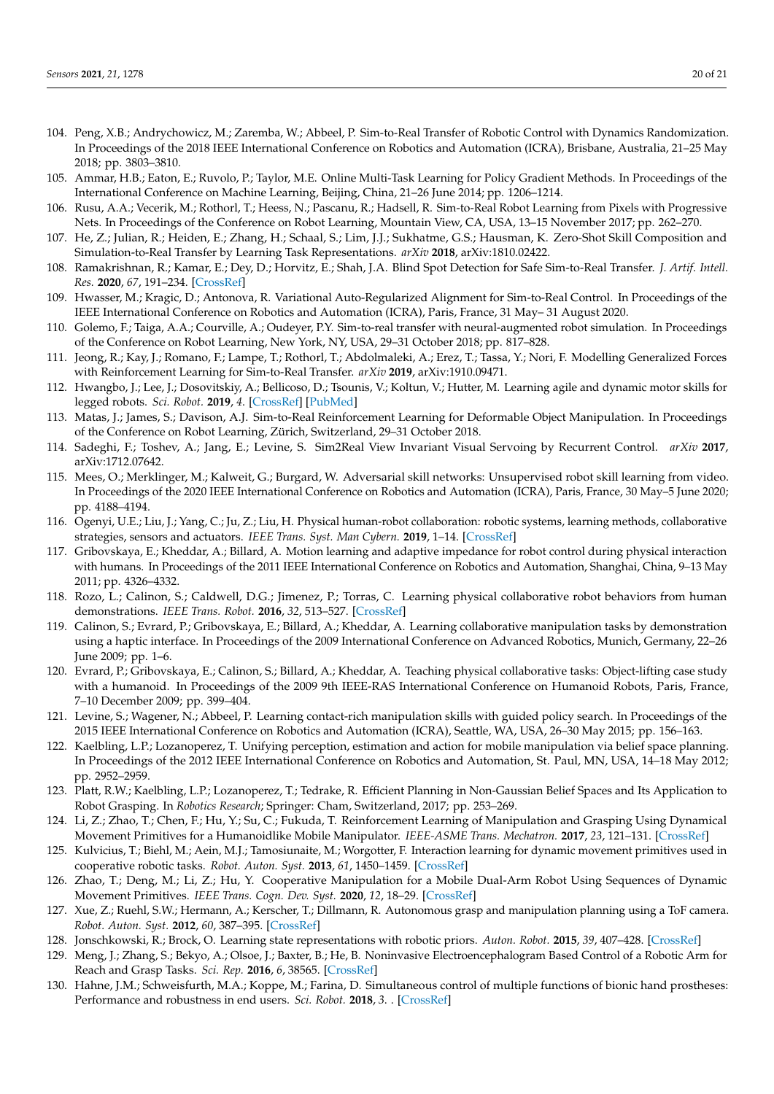- <span id="page-19-0"></span>104. Peng, X.B.; Andrychowicz, M.; Zaremba, W.; Abbeel, P. Sim-to-Real Transfer of Robotic Control with Dynamics Randomization. In Proceedings of the 2018 IEEE International Conference on Robotics and Automation (ICRA), Brisbane, Australia, 21–25 May 2018; pp. 3803–3810.
- <span id="page-19-1"></span>105. Ammar, H.B.; Eaton, E.; Ruvolo, P.; Taylor, M.E. Online Multi-Task Learning for Policy Gradient Methods. In Proceedings of the International Conference on Machine Learning, Beijing, China, 21–26 June 2014; pp. 1206–1214.
- <span id="page-19-2"></span>106. Rusu, A.A.; Vecerik, M.; Rothorl, T.; Heess, N.; Pascanu, R.; Hadsell, R. Sim-to-Real Robot Learning from Pixels with Progressive Nets. In Proceedings of the Conference on Robot Learning, Mountain View, CA, USA, 13–15 November 2017; pp. 262–270.
- <span id="page-19-3"></span>107. He, Z.; Julian, R.; Heiden, E.; Zhang, H.; Schaal, S.; Lim, J.J.; Sukhatme, G.S.; Hausman, K. Zero-Shot Skill Composition and Simulation-to-Real Transfer by Learning Task Representations. *arXiv* **2018**, arXiv:1810.02422.
- <span id="page-19-4"></span>108. Ramakrishnan, R.; Kamar, E.; Dey, D.; Horvitz, E.; Shah, J.A. Blind Spot Detection for Safe Sim-to-Real Transfer. *J. Artif. Intell. Res.* **2020**, *67*, 191–234. [\[CrossRef\]](http://dx.doi.org/10.1613/jair.1.11436)
- <span id="page-19-5"></span>109. Hwasser, M.; Kragic, D.; Antonova, R. Variational Auto-Regularized Alignment for Sim-to-Real Control. In Proceedings of the IEEE International Conference on Robotics and Automation (ICRA), Paris, France, 31 May– 31 August 2020.
- <span id="page-19-6"></span>110. Golemo, F.; Taiga, A.A.; Courville, A.; Oudeyer, P.Y. Sim-to-real transfer with neural-augmented robot simulation. In Proceedings of the Conference on Robot Learning, New York, NY, USA, 29–31 October 2018; pp. 817–828.
- <span id="page-19-7"></span>111. Jeong, R.; Kay, J.; Romano, F.; Lampe, T.; Rothorl, T.; Abdolmaleki, A.; Erez, T.; Tassa, Y.; Nori, F. Modelling Generalized Forces with Reinforcement Learning for Sim-to-Real Transfer. *arXiv* **2019**, arXiv:1910.09471.
- <span id="page-19-8"></span>112. Hwangbo, J.; Lee, J.; Dosovitskiy, A.; Bellicoso, D.; Tsounis, V.; Koltun, V.; Hutter, M. Learning agile and dynamic motor skills for legged robots. *Sci. Robot.* **2019**, *4*. [\[CrossRef\]](http://dx.doi.org/10.1126/scirobotics.aau5872) [\[PubMed\]](http://www.ncbi.nlm.nih.gov/pubmed/33137755)
- <span id="page-19-9"></span>113. Matas, J.; James, S.; Davison, A.J. Sim-to-Real Reinforcement Learning for Deformable Object Manipulation. In Proceedings of the Conference on Robot Learning, Zürich, Switzerland, 29–31 October 2018.
- <span id="page-19-10"></span>114. Sadeghi, F.; Toshev, A.; Jang, E.; Levine, S. Sim2Real View Invariant Visual Servoing by Recurrent Control. *arXiv* **2017**, arXiv:1712.07642.
- <span id="page-19-11"></span>115. Mees, O.; Merklinger, M.; Kalweit, G.; Burgard, W. Adversarial skill networks: Unsupervised robot skill learning from video. In Proceedings of the 2020 IEEE International Conference on Robotics and Automation (ICRA), Paris, France, 30 May–5 June 2020; pp. 4188–4194.
- <span id="page-19-12"></span>116. Ogenyi, U.E.; Liu, J.; Yang, C.; Ju, Z.; Liu, H. Physical human-robot collaboration: robotic systems, learning methods, collaborative strategies, sensors and actuators. *IEEE Trans. Syst. Man Cybern.* **2019**, 1–14. [\[CrossRef\]](http://dx.doi.org/10.1109/TCYB.2019.2947532)
- <span id="page-19-13"></span>117. Gribovskaya, E.; Kheddar, A.; Billard, A. Motion learning and adaptive impedance for robot control during physical interaction with humans. In Proceedings of the 2011 IEEE International Conference on Robotics and Automation, Shanghai, China, 9–13 May 2011; pp. 4326–4332.
- <span id="page-19-14"></span>118. Rozo, L.; Calinon, S.; Caldwell, D.G.; Jimenez, P.; Torras, C. Learning physical collaborative robot behaviors from human demonstrations. *IEEE Trans. Robot.* **2016**, *32*, 513–527. [\[CrossRef\]](http://dx.doi.org/10.1109/TRO.2016.2540623)
- <span id="page-19-15"></span>119. Calinon, S.; Evrard, P.; Gribovskaya, E.; Billard, A.; Kheddar, A. Learning collaborative manipulation tasks by demonstration using a haptic interface. In Proceedings of the 2009 International Conference on Advanced Robotics, Munich, Germany, 22–26 June 2009; pp. 1–6.
- <span id="page-19-16"></span>120. Evrard, P.; Gribovskaya, E.; Calinon, S.; Billard, A.; Kheddar, A. Teaching physical collaborative tasks: Object-lifting case study with a humanoid. In Proceedings of the 2009 9th IEEE-RAS International Conference on Humanoid Robots, Paris, France, 7–10 December 2009; pp. 399–404.
- <span id="page-19-17"></span>121. Levine, S.; Wagener, N.; Abbeel, P. Learning contact-rich manipulation skills with guided policy search. In Proceedings of the 2015 IEEE International Conference on Robotics and Automation (ICRA), Seattle, WA, USA, 26–30 May 2015; pp. 156–163.
- <span id="page-19-18"></span>122. Kaelbling, L.P.; Lozanoperez, T. Unifying perception, estimation and action for mobile manipulation via belief space planning. In Proceedings of the 2012 IEEE International Conference on Robotics and Automation, St. Paul, MN, USA, 14–18 May 2012; pp. 2952–2959.
- <span id="page-19-19"></span>123. Platt, R.W.; Kaelbling, L.P.; Lozanoperez, T.; Tedrake, R. Efficient Planning in Non-Gaussian Belief Spaces and Its Application to Robot Grasping. In *Robotics Research*; Springer: Cham, Switzerland, 2017; pp. 253–269.
- 124. Li, Z.; Zhao, T.; Chen, F.; Hu, Y.; Su, C.; Fukuda, T. Reinforcement Learning of Manipulation and Grasping Using Dynamical Movement Primitives for a Humanoidlike Mobile Manipulator. *IEEE-ASME Trans. Mechatron.* **2017**, *23*, 121–131. [\[CrossRef\]](http://dx.doi.org/10.1109/TMECH.2017.2717461)
- <span id="page-19-20"></span>125. Kulvicius, T.; Biehl, M.; Aein, M.J.; Tamosiunaite, M.; Worgotter, F. Interaction learning for dynamic movement primitives used in cooperative robotic tasks. *Robot. Auton. Syst.* **2013**, *61*, 1450–1459. [\[CrossRef\]](http://dx.doi.org/10.1016/j.robot.2013.07.009)
- <span id="page-19-21"></span>126. Zhao, T.; Deng, M.; Li, Z.; Hu, Y. Cooperative Manipulation for a Mobile Dual-Arm Robot Using Sequences of Dynamic Movement Primitives. *IEEE Trans. Cogn. Dev. Syst.* **2020**, *12*, 18–29. [\[CrossRef\]](http://dx.doi.org/10.1109/TCDS.2018.2868921)
- <span id="page-19-22"></span>127. Xue, Z.; Ruehl, S.W.; Hermann, A.; Kerscher, T.; Dillmann, R. Autonomous grasp and manipulation planning using a ToF camera. *Robot. Auton. Syst.* **2012**, *60*, 387–395. [\[CrossRef\]](http://dx.doi.org/10.1016/j.robot.2011.07.012)
- <span id="page-19-23"></span>128. Jonschkowski, R.; Brock, O. Learning state representations with robotic priors. *Auton. Robot.* **2015**, *39*, 407–428. [\[CrossRef\]](http://dx.doi.org/10.1007/s10514-015-9459-7)
- <span id="page-19-24"></span>129. Meng, J.; Zhang, S.; Bekyo, A.; Olsoe, J.; Baxter, B.; He, B. Noninvasive Electroencephalogram Based Control of a Robotic Arm for Reach and Grasp Tasks. *Sci. Rep.* **2016**, *6*, 38565. [\[CrossRef\]](http://dx.doi.org/10.1038/srep38565)
- <span id="page-19-25"></span>130. Hahne, J.M.; Schweisfurth, M.A.; Koppe, M.; Farina, D. Simultaneous control of multiple functions of bionic hand prostheses: Performance and robustness in end users. *Sci. Robot.* **2018**, *3*. . [\[CrossRef\]](http://dx.doi.org/10.1126/scirobotics.aat3630)